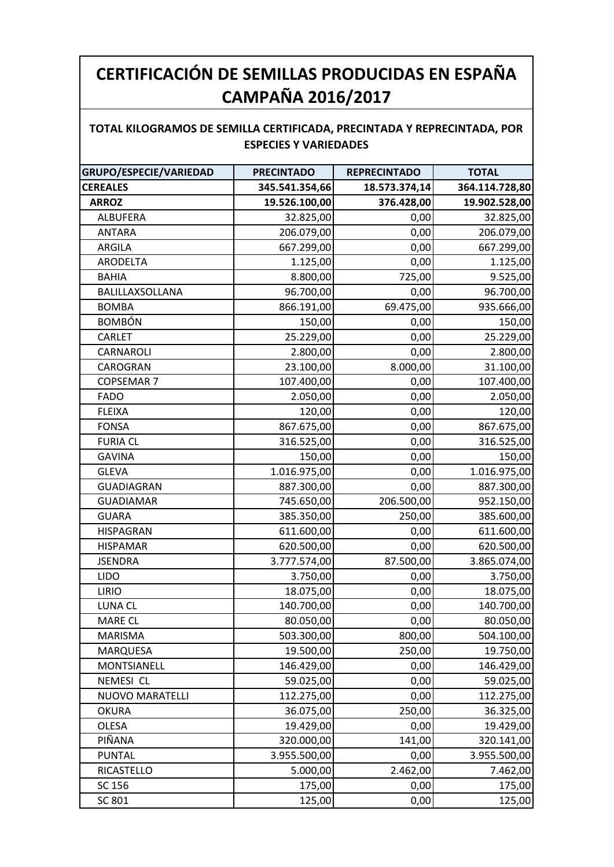## **CERTIFICACIÓN DE SEMILLAS PRODUCIDAS EN ESPAÑA CAMPAÑA 2016/2017**

## **TOTAL KILOGRAMOS DE SEMILLA CERTIFICADA, PRECINTADA Y REPRECINTADA, POR ESPECIES Y VARIEDADES**

| GRUPO/ESPECIE/VARIEDAD | <b>PRECINTADO</b> | <b>REPRECINTADO</b> | <b>TOTAL</b>   |
|------------------------|-------------------|---------------------|----------------|
| <b>CEREALES</b>        | 345.541.354,66    | 18.573.374,14       | 364.114.728,80 |
| <b>ARROZ</b>           | 19.526.100,00     | 376.428,00          | 19.902.528,00  |
| <b>ALBUFERA</b>        | 32.825,00         | 0,00                | 32.825,00      |
| <b>ANTARA</b>          | 206.079,00        | 0,00                | 206.079,00     |
| ARGILA                 | 667.299,00        | 0,00                | 667.299,00     |
| ARODELTA               | 1.125,00          | 0,00                | 1.125,00       |
| <b>BAHIA</b>           | 8.800,00          | 725,00              | 9.525,00       |
| BALILLAXSOLLANA        | 96.700,00         | 0,00                | 96.700,00      |
| <b>BOMBA</b>           | 866.191,00        | 69.475,00           | 935.666,00     |
| <b>BOMBÓN</b>          | 150,00            | 0,00                | 150,00         |
| CARLET                 | 25.229,00         | 0,00                | 25.229,00      |
| CARNAROLI              | 2.800,00          | 0,00                | 2.800,00       |
| CAROGRAN               | 23.100,00         | 8.000,00            | 31.100,00      |
| <b>COPSEMAR 7</b>      | 107.400,00        | 0,00                | 107.400,00     |
| <b>FADO</b>            | 2.050,00          | 0,00                | 2.050,00       |
| <b>FLEIXA</b>          | 120,00            | 0,00                | 120,00         |
| <b>FONSA</b>           | 867.675,00        | 0,00                | 867.675,00     |
| <b>FURIA CL</b>        | 316.525,00        | 0,00                | 316.525,00     |
| <b>GAVINA</b>          | 150,00            | 0,00                | 150,00         |
| <b>GLEVA</b>           | 1.016.975,00      | 0,00                | 1.016.975,00   |
| <b>GUADIAGRAN</b>      | 887.300,00        | 0,00                | 887.300,00     |
| <b>GUADIAMAR</b>       | 745.650,00        | 206.500,00          | 952.150,00     |
| <b>GUARA</b>           | 385.350,00        | 250,00              | 385.600,00     |
| <b>HISPAGRAN</b>       | 611.600,00        | 0,00                | 611.600,00     |
| <b>HISPAMAR</b>        | 620.500,00        | 0,00                | 620.500,00     |
| <b>JSENDRA</b>         | 3.777.574,00      | 87.500,00           | 3.865.074,00   |
| <b>LIDO</b>            | 3.750,00          | 0,00                | 3.750,00       |
| <b>LIRIO</b>           | 18.075,00         | 0,00                | 18.075,00      |
| LUNA CL                | 140.700,00        | 0,00                | 140.700,00     |
| MARE CL                | 80.050,00         | 0,00                | 80.050,00      |
| MARISMA                | 503.300,00        | 800,00              | 504.100,00     |
| MARQUESA               | 19.500,00         | 250,00              | 19.750,00      |
| MONTSIANELL            | 146.429,00        | 0,00                | 146.429,00     |
| <b>NEMESI CL</b>       | 59.025,00         | 0,00                | 59.025,00      |
| <b>NUOVO MARATELLI</b> | 112.275,00        | 0,00                | 112.275,00     |
| <b>OKURA</b>           | 36.075,00         | 250,00              | 36.325,00      |
| OLESA                  | 19.429,00         | 0,00                | 19.429,00      |
| PIÑANA                 | 320.000,00        | 141,00              | 320.141,00     |
| <b>PUNTAL</b>          | 3.955.500,00      | 0,00                | 3.955.500,00   |
| RICASTELLO             | 5.000,00          | 2.462,00            | 7.462,00       |
| SC 156                 | 175,00            | 0,00                | 175,00         |
| SC 801                 | 125,00            | 0,00                | 125,00         |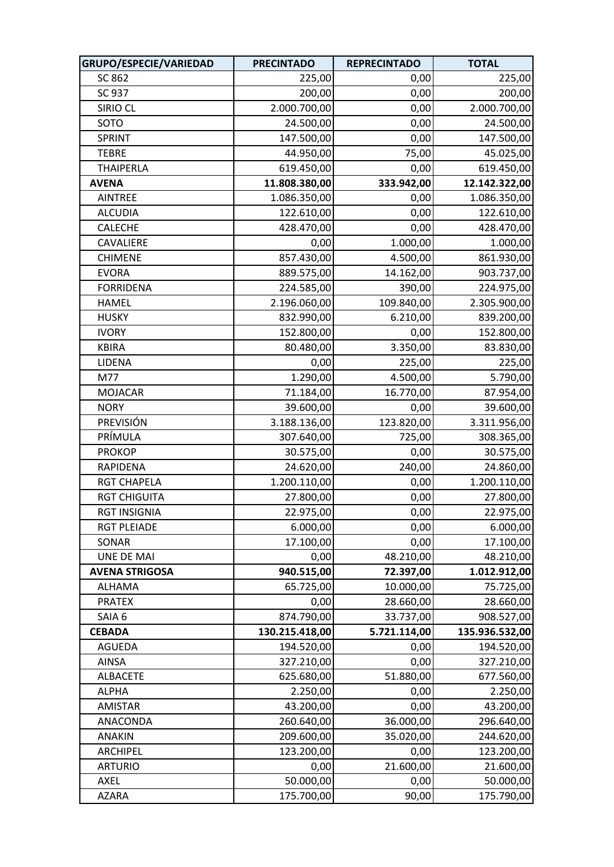| GRUPO/ESPECIE/VARIEDAD | <b>PRECINTADO</b> | <b>REPRECINTADO</b> | <b>TOTAL</b>   |
|------------------------|-------------------|---------------------|----------------|
| SC 862                 | 225,00            | 0,00                | 225,00         |
| SC 937                 | 200,00            | 0,00                | 200,00         |
| SIRIO CL               | 2.000.700,00      | 0,00                | 2.000.700,00   |
| SOTO                   | 24.500,00         | 0,00                | 24.500,00      |
| SPRINT                 | 147.500,00        | 0,00                | 147.500,00     |
| <b>TEBRE</b>           | 44.950,00         | 75,00               | 45.025,00      |
| <b>THAIPERLA</b>       | 619.450,00        | 0,00                | 619.450,00     |
| <b>AVENA</b>           | 11.808.380,00     | 333.942,00          | 12.142.322,00  |
| <b>AINTREE</b>         | 1.086.350,00      | 0,00                | 1.086.350,00   |
| <b>ALCUDIA</b>         | 122.610,00        | 0,00                | 122.610,00     |
| <b>CALECHE</b>         | 428.470,00        | 0,00                | 428.470,00     |
| CAVALIERE              | 0,00              | 1.000,00            | 1.000,00       |
| <b>CHIMENE</b>         | 857.430,00        | 4.500,00            | 861.930,00     |
| <b>EVORA</b>           | 889.575,00        | 14.162,00           | 903.737,00     |
| <b>FORRIDENA</b>       | 224.585,00        | 390,00              | 224.975,00     |
| <b>HAMEL</b>           | 2.196.060,00      | 109.840,00          | 2.305.900,00   |
| <b>HUSKY</b>           | 832.990,00        | 6.210,00            | 839.200,00     |
| <b>IVORY</b>           | 152.800,00        | 0,00                | 152.800,00     |
| <b>KBIRA</b>           | 80.480,00         | 3.350,00            | 83.830,00      |
| LIDENA                 | 0,00              | 225,00              | 225,00         |
| M77                    | 1.290,00          | 4.500,00            | 5.790,00       |
| <b>MOJACAR</b>         | 71.184,00         | 16.770,00           | 87.954,00      |
| <b>NORY</b>            | 39.600,00         | 0,00                | 39.600,00      |
| PREVISIÓN              | 3.188.136,00      | 123.820,00          | 3.311.956,00   |
| PRÍMULA                | 307.640,00        | 725,00              | 308.365,00     |
| <b>PROKOP</b>          | 30.575,00         | 0,00                | 30.575,00      |
| <b>RAPIDENA</b>        | 24.620,00         | 240,00              | 24.860,00      |
| <b>RGT CHAPELA</b>     | 1.200.110,00      | 0,00                | 1.200.110,00   |
| <b>RGT CHIGUITA</b>    | 27.800,00         | 0,00                | 27.800,00      |
| <b>RGT INSIGNIA</b>    | 22.975,00         | 0,00                | 22.975,00      |
| <b>RGT PLEIADE</b>     | 6.000,00          | 0,00                | 6.000,00       |
| SONAR                  | 17.100,00         | 0,00                | 17.100,00      |
| <b>UNE DE MAI</b>      | 0,00              | 48.210,00           | 48.210,00      |
| <b>AVENA STRIGOSA</b>  | 940.515,00        | 72.397,00           | 1.012.912,00   |
| <b>ALHAMA</b>          | 65.725,00         | 10.000,00           | 75.725,00      |
| <b>PRATEX</b>          | 0,00              | 28.660,00           | 28.660,00      |
| SAIA 6                 | 874.790,00        | 33.737,00           | 908.527,00     |
| <b>CEBADA</b>          | 130.215.418,00    | 5.721.114,00        | 135.936.532,00 |
| <b>AGUEDA</b>          | 194.520,00        | 0,00                | 194.520,00     |
| <b>AINSA</b>           | 327.210,00        | 0,00                | 327.210,00     |
| <b>ALBACETE</b>        | 625.680,00        | 51.880,00           | 677.560,00     |
| <b>ALPHA</b>           | 2.250,00          | 0,00                | 2.250,00       |
| <b>AMISTAR</b>         | 43.200,00         | 0,00                | 43.200,00      |
| ANACONDA               | 260.640,00        | 36.000,00           | 296.640,00     |
| <b>ANAKIN</b>          | 209.600,00        | 35.020,00           | 244.620,00     |
| ARCHIPEL               | 123.200,00        | 0,00                | 123.200,00     |
| <b>ARTURIO</b>         | 0,00              | 21.600,00           | 21.600,00      |
| AXEL                   | 50.000,00         | 0,00                | 50.000,00      |
| <b>AZARA</b>           | 175.700,00        | 90,00               | 175.790,00     |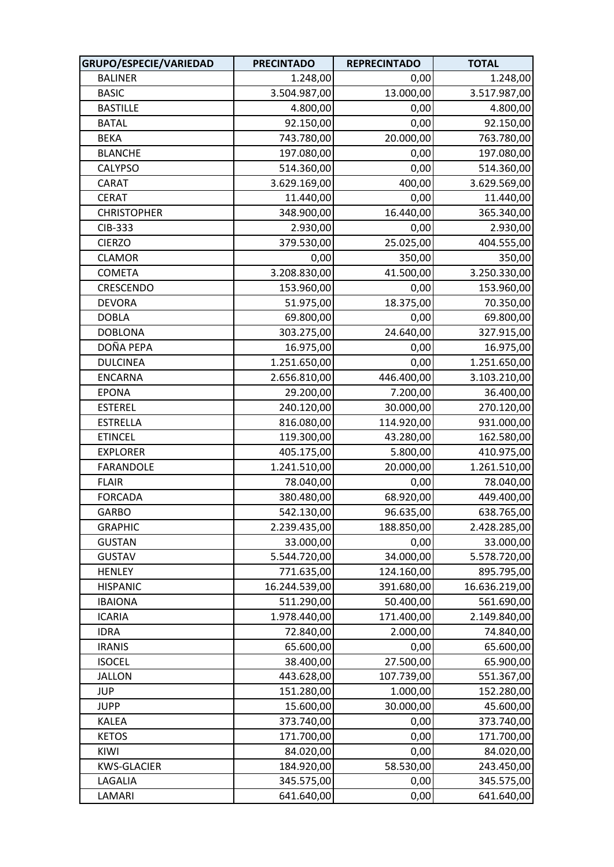| GRUPO/ESPECIE/VARIEDAD | <b>PRECINTADO</b> | <b>REPRECINTADO</b> | <b>TOTAL</b>  |
|------------------------|-------------------|---------------------|---------------|
| <b>BALINER</b>         | 1.248,00          | 0,00                | 1.248,00      |
| <b>BASIC</b>           | 3.504.987,00      | 13.000,00           | 3.517.987,00  |
| <b>BASTILLE</b>        | 4.800,00          | 0,00                | 4.800,00      |
| <b>BATAL</b>           | 92.150,00         | 0,00                | 92.150,00     |
| <b>BEKA</b>            | 743.780,00        | 20.000,00           | 763.780,00    |
| <b>BLANCHE</b>         | 197.080,00        | 0,00                | 197.080,00    |
| <b>CALYPSO</b>         | 514.360,00        | 0,00                | 514.360,00    |
| CARAT                  | 3.629.169,00      | 400,00              | 3.629.569,00  |
| <b>CERAT</b>           | 11.440,00         | 0,00                | 11.440,00     |
| <b>CHRISTOPHER</b>     | 348.900,00        | 16.440,00           | 365.340,00    |
| CIB-333                | 2.930,00          | 0,00                | 2.930,00      |
| <b>CIERZO</b>          | 379.530,00        | 25.025,00           | 404.555,00    |
| <b>CLAMOR</b>          | 0,00              | 350,00              | 350,00        |
| <b>COMETA</b>          | 3.208.830,00      | 41.500,00           | 3.250.330,00  |
| CRESCENDO              | 153.960,00        | 0,00                | 153.960,00    |
| <b>DEVORA</b>          | 51.975,00         | 18.375,00           | 70.350,00     |
| <b>DOBLA</b>           | 69.800,00         | 0,00                | 69.800,00     |
| <b>DOBLONA</b>         | 303.275,00        | 24.640,00           | 327.915,00    |
| DOÑA PEPA              | 16.975,00         | 0,00                | 16.975,00     |
| <b>DULCINEA</b>        | 1.251.650,00      | 0,00                | 1.251.650,00  |
| <b>ENCARNA</b>         | 2.656.810,00      | 446.400,00          | 3.103.210,00  |
| <b>EPONA</b>           | 29.200,00         | 7.200,00            | 36.400,00     |
| <b>ESTEREL</b>         | 240.120,00        | 30.000,00           | 270.120,00    |
| <b>ESTRELLA</b>        | 816.080,00        | 114.920,00          | 931.000,00    |
| <b>ETINCEL</b>         | 119.300,00        | 43.280,00           | 162.580,00    |
| <b>EXPLORER</b>        | 405.175,00        | 5.800,00            | 410.975,00    |
| <b>FARANDOLE</b>       | 1.241.510,00      | 20.000,00           | 1.261.510,00  |
| <b>FLAIR</b>           | 78.040,00         | 0,00                | 78.040,00     |
| <b>FORCADA</b>         | 380.480,00        | 68.920,00           | 449.400,00    |
| <b>GARBO</b>           | 542.130,00        | 96.635,00           | 638.765,00    |
| <b>GRAPHIC</b>         | 2.239.435,00      | 188.850,00          | 2.428.285,00  |
| <b>GUSTAN</b>          | 33.000,00         | 0,00                | 33.000,00     |
| <b>GUSTAV</b>          | 5.544.720,00      | 34.000,00           | 5.578.720,00  |
| <b>HENLEY</b>          | 771.635,00        | 124.160,00          | 895.795,00    |
| <b>HISPANIC</b>        | 16.244.539,00     | 391.680,00          | 16.636.219,00 |
| <b>IBAIONA</b>         | 511.290,00        | 50.400,00           | 561.690,00    |
| <b>ICARIA</b>          | 1.978.440,00      | 171.400,00          | 2.149.840,00  |
| <b>IDRA</b>            | 72.840,00         | 2.000,00            | 74.840,00     |
| <b>IRANIS</b>          | 65.600,00         | 0,00                | 65.600,00     |
| <b>ISOCEL</b>          | 38.400,00         | 27.500,00           | 65.900,00     |
| <b>JALLON</b>          | 443.628,00        | 107.739,00          | 551.367,00    |
| <b>JUP</b>             | 151.280,00        | 1.000,00            | 152.280,00    |
| <b>JUPP</b>            | 15.600,00         | 30.000,00           | 45.600,00     |
| <b>KALEA</b>           | 373.740,00        | 0,00                | 373.740,00    |
| <b>KETOS</b>           | 171.700,00        | 0,00                | 171.700,00    |
| KIWI                   | 84.020,00         | 0,00                | 84.020,00     |
| <b>KWS-GLACIER</b>     | 184.920,00        | 58.530,00           | 243.450,00    |
| LAGALIA                | 345.575,00        | 0,00                | 345.575,00    |
| LAMARI                 | 641.640,00        | 0,00                | 641.640,00    |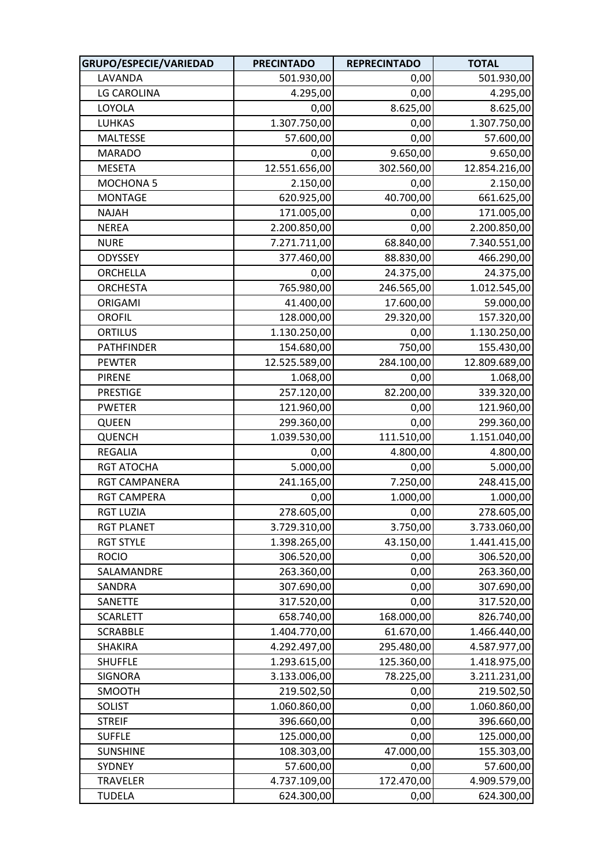| GRUPO/ESPECIE/VARIEDAD | <b>PRECINTADO</b> | <b>REPRECINTADO</b> | <b>TOTAL</b>  |
|------------------------|-------------------|---------------------|---------------|
| LAVANDA                | 501.930,00        | 0,00                | 501.930,00    |
| LG CAROLINA            | 4.295,00          | 0,00                | 4.295,00      |
| LOYOLA                 | 0,00              | 8.625,00            | 8.625,00      |
| <b>LUHKAS</b>          | 1.307.750,00      | 0,00                | 1.307.750,00  |
| <b>MALTESSE</b>        | 57.600,00         | 0,00                | 57.600,00     |
| <b>MARADO</b>          | 0,00              | 9.650,00            | 9.650,00      |
| <b>MESETA</b>          | 12.551.656,00     | 302.560,00          | 12.854.216,00 |
| MOCHONA <sub>5</sub>   | 2.150,00          | 0,00                | 2.150,00      |
| <b>MONTAGE</b>         | 620.925,00        | 40.700,00           | 661.625,00    |
| <b>NAJAH</b>           | 171.005,00        | 0,00                | 171.005,00    |
| <b>NEREA</b>           | 2.200.850,00      | 0,00                | 2.200.850,00  |
| <b>NURE</b>            | 7.271.711,00      | 68.840,00           | 7.340.551,00  |
| ODYSSEY                | 377.460,00        | 88.830,00           | 466.290,00    |
| ORCHELLA               | 0,00              | 24.375,00           | 24.375,00     |
| <b>ORCHESTA</b>        | 765.980,00        | 246.565,00          | 1.012.545,00  |
| ORIGAMI                | 41.400,00         | 17.600,00           | 59.000,00     |
| <b>OROFIL</b>          | 128.000,00        | 29.320,00           | 157.320,00    |
| <b>ORTILUS</b>         | 1.130.250,00      | 0,00                | 1.130.250,00  |
| <b>PATHFINDER</b>      | 154.680,00        | 750,00              | 155.430,00    |
| <b>PEWTER</b>          | 12.525.589,00     | 284.100,00          | 12.809.689,00 |
| <b>PIRENE</b>          | 1.068,00          | 0,00                | 1.068,00      |
| <b>PRESTIGE</b>        | 257.120,00        | 82.200,00           | 339.320,00    |
| <b>PWETER</b>          | 121.960,00        | 0,00                | 121.960,00    |
| QUEEN                  | 299.360,00        | 0,00                | 299.360,00    |
| <b>QUENCH</b>          | 1.039.530,00      | 111.510,00          | 1.151.040,00  |
| <b>REGALIA</b>         | 0,00              | 4.800,00            | 4.800,00      |
| <b>RGT ATOCHA</b>      | 5.000,00          | 0,00                | 5.000,00      |
| RGT CAMPANERA          | 241.165,00        | 7.250,00            | 248.415,00    |
| <b>RGT CAMPERA</b>     | 0,00              | 1.000,00            | 1.000,00      |
| <b>RGT LUZIA</b>       | 278.605,00        | 0,00                | 278.605,00    |
| <b>RGT PLANET</b>      | 3.729.310,00      | 3.750,00            | 3.733.060,00  |
| <b>RGT STYLE</b>       | 1.398.265,00      | 43.150,00           | 1.441.415,00  |
| <b>ROCIO</b>           | 306.520,00        | 0,00                | 306.520,00    |
| SALAMANDRE             | 263.360,00        | 0,00                | 263.360,00    |
| SANDRA                 | 307.690,00        | 0,00                | 307.690,00    |
| SANETTE                | 317.520,00        | 0,00                | 317.520,00    |
| <b>SCARLETT</b>        | 658.740,00        | 168.000,00          | 826.740,00    |
| <b>SCRABBLE</b>        | 1.404.770,00      | 61.670,00           | 1.466.440,00  |
| <b>SHAKIRA</b>         | 4.292.497,00      | 295.480,00          | 4.587.977,00  |
| <b>SHUFFLE</b>         | 1.293.615,00      | 125.360,00          | 1.418.975,00  |
| <b>SIGNORA</b>         | 3.133.006,00      | 78.225,00           | 3.211.231,00  |
| SMOOTH                 | 219.502,50        | 0,00                | 219.502,50    |
| SOLIST                 | 1.060.860,00      | 0,00                | 1.060.860,00  |
| <b>STREIF</b>          | 396.660,00        | 0,00                | 396.660,00    |
| <b>SUFFLE</b>          | 125.000,00        | 0,00                | 125.000,00    |
| <b>SUNSHINE</b>        | 108.303,00        | 47.000,00           | 155.303,00    |
| SYDNEY                 | 57.600,00         | 0,00                | 57.600,00     |
| <b>TRAVELER</b>        | 4.737.109,00      | 172.470,00          | 4.909.579,00  |
| <b>TUDELA</b>          | 624.300,00        | 0,00                | 624.300,00    |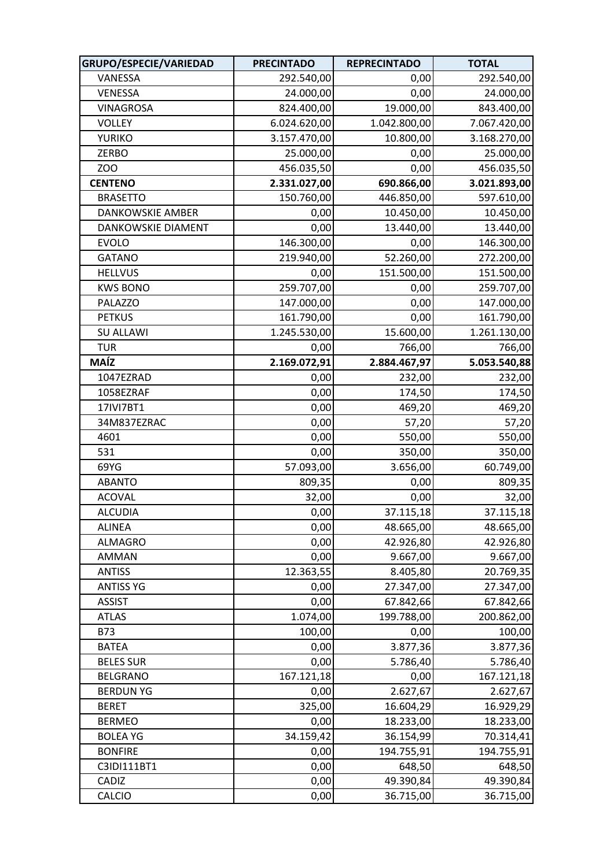| GRUPO/ESPECIE/VARIEDAD | <b>PRECINTADO</b> | <b>REPRECINTADO</b> | <b>TOTAL</b> |
|------------------------|-------------------|---------------------|--------------|
| VANESSA                | 292.540,00        | 0,00                | 292.540,00   |
| VENESSA                | 24.000,00         | 0,00                | 24.000,00    |
| <b>VINAGROSA</b>       | 824.400,00        | 19.000,00           | 843.400,00   |
| <b>VOLLEY</b>          | 6.024.620,00      | 1.042.800,00        | 7.067.420,00 |
| <b>YURIKO</b>          | 3.157.470,00      | 10.800,00           | 3.168.270,00 |
| ZERBO                  | 25.000,00         | 0,00                | 25.000,00    |
| ZOO                    | 456.035,50        | 0,00                | 456.035,50   |
| <b>CENTENO</b>         | 2.331.027,00      | 690.866,00          | 3.021.893,00 |
| <b>BRASETTO</b>        | 150.760,00        | 446.850,00          | 597.610,00   |
| DANKOWSKIE AMBER       | 0,00              | 10.450,00           | 10.450,00    |
| DANKOWSKIE DIAMENT     | 0,00              | 13.440,00           | 13.440,00    |
| <b>EVOLO</b>           | 146.300,00        | 0,00                | 146.300,00   |
| <b>GATANO</b>          | 219.940,00        | 52.260,00           | 272.200,00   |
| <b>HELLVUS</b>         | 0,00              | 151.500,00          | 151.500,00   |
| <b>KWS BONO</b>        | 259.707,00        | 0,00                | 259.707,00   |
| PALAZZO                | 147.000,00        | 0,00                | 147.000,00   |
| <b>PETKUS</b>          | 161.790,00        | 0,00                | 161.790,00   |
| <b>SU ALLAWI</b>       | 1.245.530,00      | 15.600,00           | 1.261.130,00 |
| <b>TUR</b>             | 0,00              | 766,00              | 766,00       |
| <b>MAÍZ</b>            | 2.169.072,91      | 2.884.467,97        | 5.053.540,88 |
| 1047EZRAD              | 0,00              | 232,00              | 232,00       |
| 1058EZRAF              | 0,00              | 174,50              | 174,50       |
| 17IVI7BT1              | 0,00              | 469,20              | 469,20       |
| 34M837EZRAC            | 0,00              | 57,20               | 57,20        |
| 4601                   | 0,00              | 550,00              | 550,00       |
| 531                    | 0,00              | 350,00              | 350,00       |
| 69YG                   | 57.093,00         | 3.656,00            | 60.749,00    |
| <b>ABANTO</b>          | 809,35            | 0,00                | 809,35       |
| <b>ACOVAL</b>          | 32,00             | 0,00                | 32,00        |
| <b>ALCUDIA</b>         | 0,00              | 37.115,18           | 37.115,18    |
| <b>ALINEA</b>          | 0,00              | 48.665,00           | 48.665,00    |
| <b>ALMAGRO</b>         | 0,00              | 42.926,80           | 42.926,80    |
| AMMAN                  | 0,00              | 9.667,00            | 9.667,00     |
| <b>ANTISS</b>          | 12.363,55         | 8.405,80            | 20.769,35    |
| <b>ANTISS YG</b>       | 0,00              | 27.347,00           | 27.347,00    |
| <b>ASSIST</b>          | 0,00              | 67.842,66           | 67.842,66    |
| <b>ATLAS</b>           | 1.074,00          | 199.788,00          | 200.862,00   |
| <b>B73</b>             | 100,00            | 0,00                | 100,00       |
| <b>BATEA</b>           | 0,00              | 3.877,36            | 3.877,36     |
| <b>BELES SUR</b>       | 0,00              | 5.786,40            | 5.786,40     |
| <b>BELGRANO</b>        | 167.121,18        | 0,00                | 167.121,18   |
| <b>BERDUN YG</b>       | 0,00              | 2.627,67            | 2.627,67     |
| <b>BERET</b>           | 325,00            | 16.604,29           | 16.929,29    |
| <b>BERMEO</b>          | 0,00              | 18.233,00           | 18.233,00    |
| <b>BOLEA YG</b>        | 34.159,42         | 36.154,99           | 70.314,41    |
| <b>BONFIRE</b>         | 0,00              | 194.755,91          | 194.755,91   |
| C3IDI111BT1            | 0,00              | 648,50              | 648,50       |
| CADIZ                  | 0,00              | 49.390,84           | 49.390,84    |
| <b>CALCIO</b>          | 0,00              | 36.715,00           | 36.715,00    |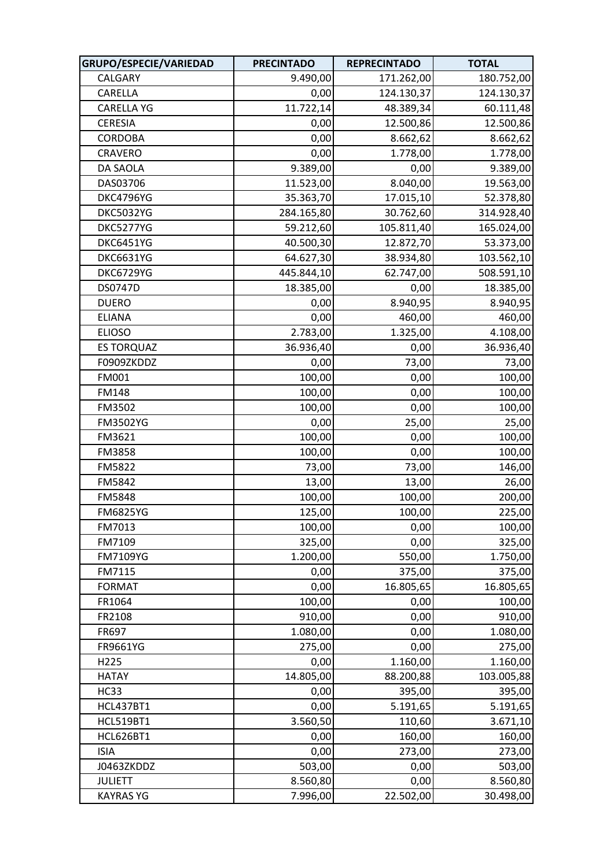| GRUPO/ESPECIE/VARIEDAD | <b>PRECINTADO</b> | <b>REPRECINTADO</b> | <b>TOTAL</b> |
|------------------------|-------------------|---------------------|--------------|
| CALGARY                | 9.490,00          | 171.262,00          | 180.752,00   |
| CARELLA                | 0,00              | 124.130,37          | 124.130,37   |
| <b>CARELLA YG</b>      | 11.722,14         | 48.389,34           | 60.111,48    |
| <b>CERESIA</b>         | 0,00              | 12.500,86           | 12.500,86    |
| <b>CORDOBA</b>         | 0,00              | 8.662,62            | 8.662,62     |
| CRAVERO                | 0,00              | 1.778,00            | 1.778,00     |
| DA SAOLA               | 9.389,00          | 0,00                | 9.389,00     |
| DAS03706               | 11.523,00         | 8.040,00            | 19.563,00    |
| <b>DKC4796YG</b>       | 35.363,70         | 17.015,10           | 52.378,80    |
| <b>DKC5032YG</b>       | 284.165,80        | 30.762,60           | 314.928,40   |
| DKC5277YG              | 59.212,60         | 105.811,40          | 165.024,00   |
| <b>DKC6451YG</b>       | 40.500,30         | 12.872,70           | 53.373,00    |
| <b>DKC6631YG</b>       | 64.627,30         | 38.934,80           | 103.562,10   |
| <b>DKC6729YG</b>       | 445.844,10        | 62.747,00           | 508.591,10   |
| <b>DS0747D</b>         | 18.385,00         | 0,00                | 18.385,00    |
| <b>DUERO</b>           | 0,00              | 8.940,95            | 8.940,95     |
| <b>ELIANA</b>          | 0,00              | 460,00              | 460,00       |
| <b>ELIOSO</b>          | 2.783,00          | 1.325,00            | 4.108,00     |
| <b>ES TORQUAZ</b>      | 36.936,40         | 0,00                | 36.936,40    |
| F0909ZKDDZ             | 0,00              | 73,00               | 73,00        |
| FM001                  | 100,00            | 0,00                | 100,00       |
| <b>FM148</b>           | 100,00            | 0,00                | 100,00       |
| FM3502                 | 100,00            | 0,00                | 100,00       |
| FM3502YG               | 0,00              | 25,00               | 25,00        |
| FM3621                 | 100,00            | 0,00                | 100,00       |
| FM3858                 | 100,00            | 0,00                | 100,00       |
| FM5822                 | 73,00             | 73,00               | 146,00       |
| FM5842                 | 13,00             | 13,00               | 26,00        |
| FM5848                 | 100,00            | 100,00              | 200,00       |
| <b>FM6825YG</b>        | 125,00            | 100,00              | 225,00       |
| FM7013                 | 100,00            | 0,00                | 100,00       |
| FM7109                 | 325,00            | 0,00                | 325,00       |
| FM7109YG               | 1.200,00          | 550,00              | 1.750,00     |
| FM7115                 | 0,00              | 375,00              | 375,00       |
| <b>FORMAT</b>          | 0,00              | 16.805,65           | 16.805,65    |
| FR1064                 | 100,00            | 0,00                | 100,00       |
| FR2108                 | 910,00            | 0,00                | 910,00       |
| FR697                  | 1.080,00          | 0,00                | 1.080,00     |
| FR9661YG               | 275,00            | 0,00                | 275,00       |
| H225                   | 0,00              | 1.160,00            | 1.160,00     |
| <b>HATAY</b>           | 14.805,00         | 88.200,88           | 103.005,88   |
| <b>HC33</b>            | 0,00              | 395,00              | 395,00       |
| <b>HCL437BT1</b>       | 0,00              | 5.191,65            | 5.191,65     |
| <b>HCL519BT1</b>       | 3.560,50          | 110,60              | 3.671,10     |
| <b>HCL626BT1</b>       | 0,00              | 160,00              | 160,00       |
| <b>ISIA</b>            | 0,00              | 273,00              | 273,00       |
| J0463ZKDDZ             | 503,00            | 0,00                | 503,00       |
| <b>JULIETT</b>         | 8.560,80          | 0,00                | 8.560,80     |
| <b>KAYRAS YG</b>       | 7.996,00          | 22.502,00           | 30.498,00    |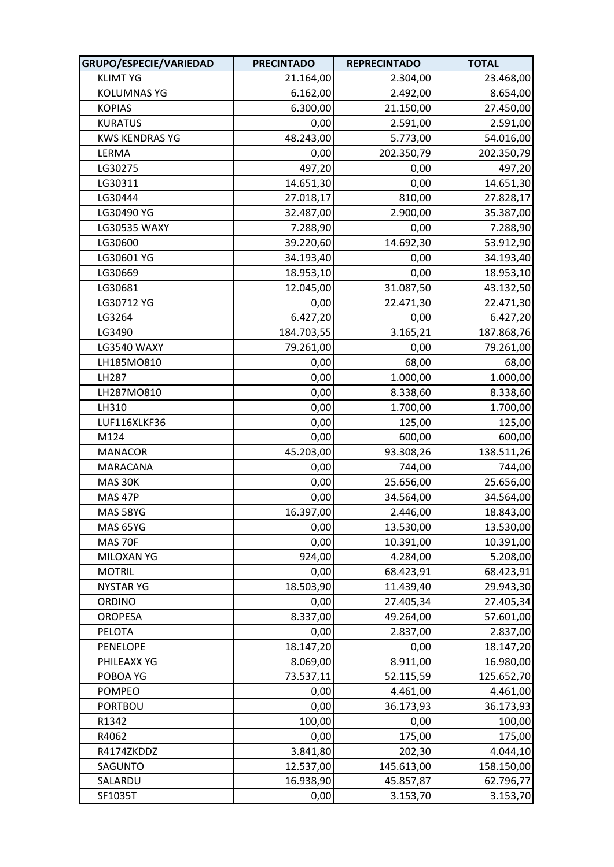| GRUPO/ESPECIE/VARIEDAD | <b>PRECINTADO</b> | <b>REPRECINTADO</b> | <b>TOTAL</b> |
|------------------------|-------------------|---------------------|--------------|
| <b>KLIMT YG</b>        | 21.164,00         | 2.304,00            | 23.468,00    |
| <b>KOLUMNAS YG</b>     | 6.162,00          | 2.492,00            | 8.654,00     |
| <b>KOPIAS</b>          | 6.300,00          | 21.150,00           | 27.450,00    |
| <b>KURATUS</b>         | 0,00              | 2.591,00            | 2.591,00     |
| <b>KWS KENDRAS YG</b>  | 48.243,00         | 5.773,00            | 54.016,00    |
| LERMA                  | 0,00              | 202.350,79          | 202.350,79   |
| LG30275                | 497,20            | 0,00                | 497,20       |
| LG30311                | 14.651,30         | 0,00                | 14.651,30    |
| LG30444                | 27.018,17         | 810,00              | 27.828,17    |
| LG30490 YG             | 32.487,00         | 2.900,00            | 35.387,00    |
| LG30535 WAXY           | 7.288,90          | 0,00                | 7.288,90     |
| LG30600                | 39.220,60         | 14.692,30           | 53.912,90    |
| LG30601 YG             | 34.193,40         | 0,00                | 34.193,40    |
| LG30669                | 18.953,10         | 0,00                | 18.953,10    |
| LG30681                | 12.045,00         | 31.087,50           | 43.132,50    |
| LG30712 YG             | 0,00              | 22.471,30           | 22.471,30    |
| LG3264                 | 6.427,20          | 0,00                | 6.427,20     |
| LG3490                 | 184.703,55        | 3.165,21            | 187.868,76   |
| <b>LG3540 WAXY</b>     | 79.261,00         | 0,00                | 79.261,00    |
| LH185MO810             | 0,00              | 68,00               | 68,00        |
| LH287                  | 0,00              | 1.000,00            | 1.000,00     |
| LH287M0810             | 0,00              | 8.338,60            | 8.338,60     |
| LH310                  | 0,00              | 1.700,00            | 1.700,00     |
| LUF116XLKF36           | 0,00              | 125,00              | 125,00       |
| M124                   | 0,00              | 600,00              | 600,00       |
| <b>MANACOR</b>         | 45.203,00         | 93.308,26           | 138.511,26   |
| MARACANA               | 0,00              | 744,00              | 744,00       |
| MAS 30K                | 0,00              | 25.656,00           | 25.656,00    |
| MAS 47P                | 0,00              | 34.564,00           | 34.564,00    |
| MAS 58YG               | 16.397,00         | 2.446,00            | 18.843,00    |
| <b>MAS 65YG</b>        | 0,00              | 13.530,00           | 13.530,00    |
| MAS 70F                | 0,00              | 10.391,00           | 10.391,00    |
| MILOXAN YG             | 924,00            | 4.284,00            | 5.208,00     |
| <b>MOTRIL</b>          | 0,00              | 68.423,91           | 68.423,91    |
| <b>NYSTAR YG</b>       | 18.503,90         | 11.439,40           | 29.943,30    |
| ORDINO                 | 0,00              | 27.405,34           | 27.405,34    |
| <b>OROPESA</b>         | 8.337,00          | 49.264,00           | 57.601,00    |
| PELOTA                 | 0,00              | 2.837,00            | 2.837,00     |
| <b>PENELOPE</b>        | 18.147,20         | 0,00                | 18.147,20    |
| PHILEAXX YG            | 8.069,00          | 8.911,00            | 16.980,00    |
| POBOA YG               | 73.537,11         | 52.115,59           | 125.652,70   |
| <b>POMPEO</b>          | 0,00              | 4.461,00            | 4.461,00     |
| <b>PORTBOU</b>         | 0,00              | 36.173,93           | 36.173,93    |
| R1342                  | 100,00            | 0,00                | 100,00       |
| R4062                  | 0,00              | 175,00              | 175,00       |
| R4174ZKDDZ             | 3.841,80          | 202,30              | 4.044,10     |
| SAGUNTO                | 12.537,00         | 145.613,00          | 158.150,00   |
| SALARDU                | 16.938,90         | 45.857,87           | 62.796,77    |
| SF1035T                | 0,00              | 3.153,70            | 3.153,70     |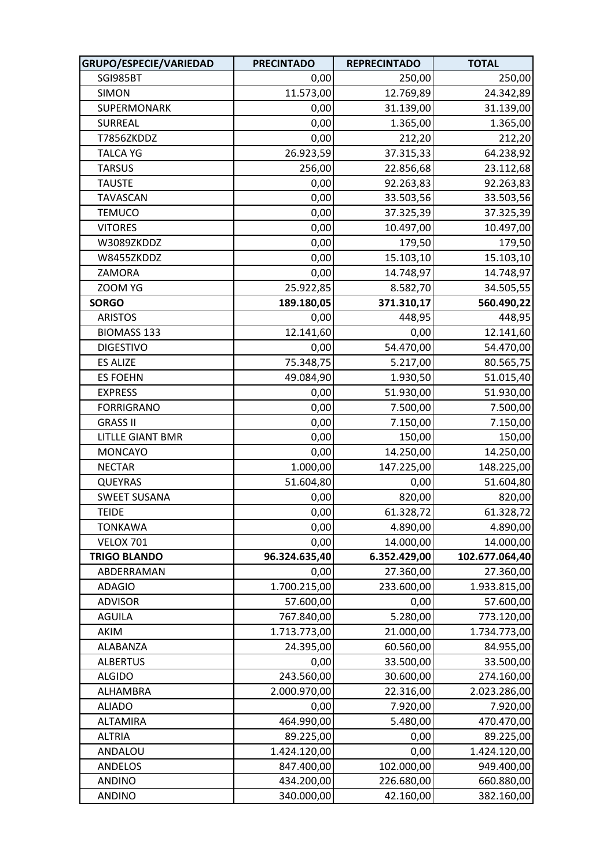| GRUPO/ESPECIE/VARIEDAD  | <b>PRECINTADO</b> | <b>REPRECINTADO</b> | <b>TOTAL</b>   |
|-------------------------|-------------------|---------------------|----------------|
| SGI985BT                | 0,00              | 250,00              | 250,00         |
| <b>SIMON</b>            | 11.573,00         | 12.769,89           | 24.342,89      |
| SUPERMONARK             | 0,00              | 31.139,00           | 31.139,00      |
| <b>SURREAL</b>          | 0,00              | 1.365,00            | 1.365,00       |
| T7856ZKDDZ              | 0,00              | 212,20              | 212,20         |
| <b>TALCA YG</b>         | 26.923,59         | 37.315,33           | 64.238,92      |
| <b>TARSUS</b>           | 256,00            | 22.856,68           | 23.112,68      |
| <b>TAUSTE</b>           | 0,00              | 92.263,83           | 92.263,83      |
| TAVASCAN                | 0,00              | 33.503,56           | 33.503,56      |
| <b>TEMUCO</b>           | 0,00              | 37.325,39           | 37.325,39      |
| <b>VITORES</b>          | 0,00              | 10.497,00           | 10.497,00      |
| W3089ZKDDZ              | 0,00              | 179,50              | 179,50         |
| W8455ZKDDZ              | 0,00              | 15.103,10           | 15.103,10      |
| ZAMORA                  | 0,00              | 14.748,97           | 14.748,97      |
| ZOOM YG                 | 25.922,85         | 8.582,70            | 34.505,55      |
| <b>SORGO</b>            | 189.180,05        | 371.310,17          | 560.490,22     |
| <b>ARISTOS</b>          | 0,00              | 448,95              | 448,95         |
| <b>BIOMASS 133</b>      | 12.141,60         | 0,00                | 12.141,60      |
| <b>DIGESTIVO</b>        | 0,00              | 54.470,00           | 54.470,00      |
| <b>ES ALIZE</b>         | 75.348,75         | 5.217,00            | 80.565,75      |
| <b>ES FOEHN</b>         | 49.084,90         | 1.930,50            | 51.015,40      |
| <b>EXPRESS</b>          | 0,00              | 51.930,00           | 51.930,00      |
| <b>FORRIGRANO</b>       | 0,00              | 7.500,00            | 7.500,00       |
| <b>GRASS II</b>         | 0,00              | 7.150,00            | 7.150,00       |
| <b>LITLLE GIANT BMR</b> | 0,00              | 150,00              | 150,00         |
| <b>MONCAYO</b>          | 0,00              | 14.250,00           | 14.250,00      |
| <b>NECTAR</b>           | 1.000,00          | 147.225,00          | 148.225,00     |
| <b>QUEYRAS</b>          | 51.604,80         | 0,00                | 51.604,80      |
| <b>SWEET SUSANA</b>     | 0,00              | 820,00              | 820,00         |
| <b>TEIDE</b>            | 0,00              | 61.328,72           | 61.328,72      |
| <b>TONKAWA</b>          | 0,00              | 4.890,00            | 4.890,00       |
| <b>VELOX 701</b>        | 0,00              | 14.000,00           | 14.000,00      |
| <b>TRIGO BLANDO</b>     | 96.324.635,40     | 6.352.429,00        | 102.677.064,40 |
| ABDERRAMAN              | 0,00              | 27.360,00           | 27.360,00      |
| <b>ADAGIO</b>           | 1.700.215,00      | 233.600,00          | 1.933.815,00   |
| <b>ADVISOR</b>          | 57.600,00         | 0,00                | 57.600,00      |
| <b>AGUILA</b>           | 767.840,00        | 5.280,00            | 773.120,00     |
| AKIM                    | 1.713.773,00      | 21.000,00           | 1.734.773,00   |
| ALABANZA                | 24.395,00         | 60.560,00           | 84.955,00      |
| <b>ALBERTUS</b>         | 0,00              | 33.500,00           | 33.500,00      |
| <b>ALGIDO</b>           | 243.560,00        | 30.600,00           | 274.160,00     |
| ALHAMBRA                | 2.000.970,00      | 22.316,00           | 2.023.286,00   |
| <b>ALIADO</b>           | 0,00              | 7.920,00            | 7.920,00       |
| <b>ALTAMIRA</b>         | 464.990,00        | 5.480,00            | 470.470,00     |
| <b>ALTRIA</b>           | 89.225,00         | 0,00                | 89.225,00      |
| ANDALOU                 | 1.424.120,00      | 0,00                | 1.424.120,00   |
| ANDELOS                 | 847.400,00        | 102.000,00          | 949.400,00     |
| <b>ANDINO</b>           | 434.200,00        | 226.680,00          | 660.880,00     |
| <b>ANDINO</b>           | 340.000,00        | 42.160,00           | 382.160,00     |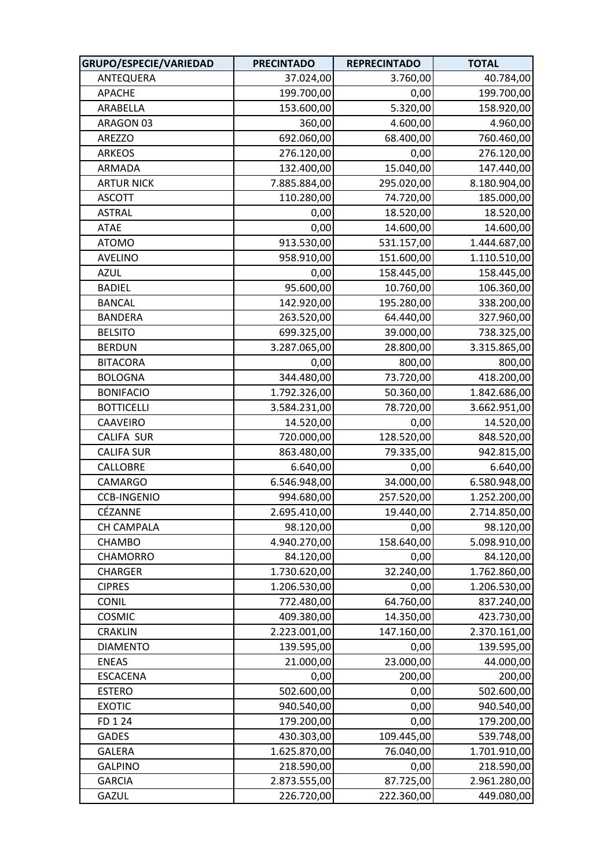| GRUPO/ESPECIE/VARIEDAD | <b>PRECINTADO</b> | <b>REPRECINTADO</b> | <b>TOTAL</b> |
|------------------------|-------------------|---------------------|--------------|
| ANTEQUERA              | 37.024,00         | 3.760,00            | 40.784,00    |
| <b>APACHE</b>          | 199.700,00        | 0,00                | 199.700,00   |
| ARABELLA               | 153.600,00        | 5.320,00            | 158.920,00   |
| ARAGON 03              | 360,00            | 4.600,00            | 4.960,00     |
| AREZZO                 | 692.060,00        | 68.400,00           | 760.460,00   |
| <b>ARKEOS</b>          | 276.120,00        | 0,00                | 276.120,00   |
| ARMADA                 | 132.400,00        | 15.040,00           | 147.440,00   |
| <b>ARTUR NICK</b>      | 7.885.884,00      | 295.020,00          | 8.180.904,00 |
| <b>ASCOTT</b>          | 110.280,00        | 74.720,00           | 185.000,00   |
| <b>ASTRAL</b>          | 0,00              | 18.520,00           | 18.520,00    |
| ATAE                   | 0,00              | 14.600,00           | 14.600,00    |
| <b>ATOMO</b>           | 913.530,00        | 531.157,00          | 1.444.687,00 |
| <b>AVELINO</b>         | 958.910,00        | 151.600,00          | 1.110.510,00 |
| <b>AZUL</b>            | 0,00              | 158.445,00          | 158.445,00   |
| <b>BADIEL</b>          | 95.600,00         | 10.760,00           | 106.360,00   |
| <b>BANCAL</b>          | 142.920,00        | 195.280,00          | 338.200,00   |
| <b>BANDERA</b>         | 263.520,00        | 64.440,00           | 327.960,00   |
| <b>BELSITO</b>         | 699.325,00        | 39.000,00           | 738.325,00   |
| <b>BERDUN</b>          | 3.287.065,00      | 28.800,00           | 3.315.865,00 |
| <b>BITACORA</b>        | 0,00              | 800,00              | 800,00       |
| <b>BOLOGNA</b>         | 344.480,00        | 73.720,00           | 418.200,00   |
| <b>BONIFACIO</b>       | 1.792.326,00      | 50.360,00           | 1.842.686,00 |
| <b>BOTTICELLI</b>      | 3.584.231,00      | 78.720,00           | 3.662.951,00 |
| CAAVEIRO               | 14.520,00         | 0,00                | 14.520,00    |
| CALIFA SUR             | 720.000,00        | 128.520,00          | 848.520,00   |
| <b>CALIFA SUR</b>      | 863.480,00        | 79.335,00           | 942.815,00   |
| CALLOBRE               | 6.640,00          | 0,00                | 6.640,00     |
| <b>CAMARGO</b>         | 6.546.948,00      | 34.000,00           | 6.580.948,00 |
| <b>CCB-INGENIO</b>     | 994.680,00        | 257.520,00          | 1.252.200,00 |
| CÉZANNE                | 2.695.410,00      | 19.440,00           | 2.714.850,00 |
| CH CAMPALA             | 98.120,00         | 0,00                | 98.120,00    |
| CHAMBO                 | 4.940.270,00      | 158.640,00          | 5.098.910,00 |
| CHAMORRO               | 84.120,00         | 0,00                | 84.120,00    |
| <b>CHARGER</b>         | 1.730.620,00      | 32.240,00           | 1.762.860,00 |
| <b>CIPRES</b>          | 1.206.530,00      | 0,00                | 1.206.530,00 |
| <b>CONIL</b>           | 772.480,00        | 64.760,00           | 837.240,00   |
| COSMIC                 | 409.380,00        | 14.350,00           | 423.730,00   |
| <b>CRAKLIN</b>         | 2.223.001,00      | 147.160,00          | 2.370.161,00 |
| <b>DIAMENTO</b>        | 139.595,00        | 0,00                | 139.595,00   |
| <b>ENEAS</b>           | 21.000,00         | 23.000,00           | 44.000,00    |
| <b>ESCACENA</b>        | 0,00              | 200,00              | 200,00       |
| <b>ESTERO</b>          | 502.600,00        | 0,00                | 502.600,00   |
| <b>EXOTIC</b>          | 940.540,00        | 0,00                | 940.540,00   |
| FD 1 24                | 179.200,00        | 0,00                | 179.200,00   |
| <b>GADES</b>           | 430.303,00        | 109.445,00          | 539.748,00   |
| <b>GALERA</b>          | 1.625.870,00      | 76.040,00           | 1.701.910,00 |
| <b>GALPINO</b>         | 218.590,00        | 0,00                | 218.590,00   |
| <b>GARCIA</b>          | 2.873.555,00      | 87.725,00           | 2.961.280,00 |
| GAZUL                  | 226.720,00        | 222.360,00          | 449.080,00   |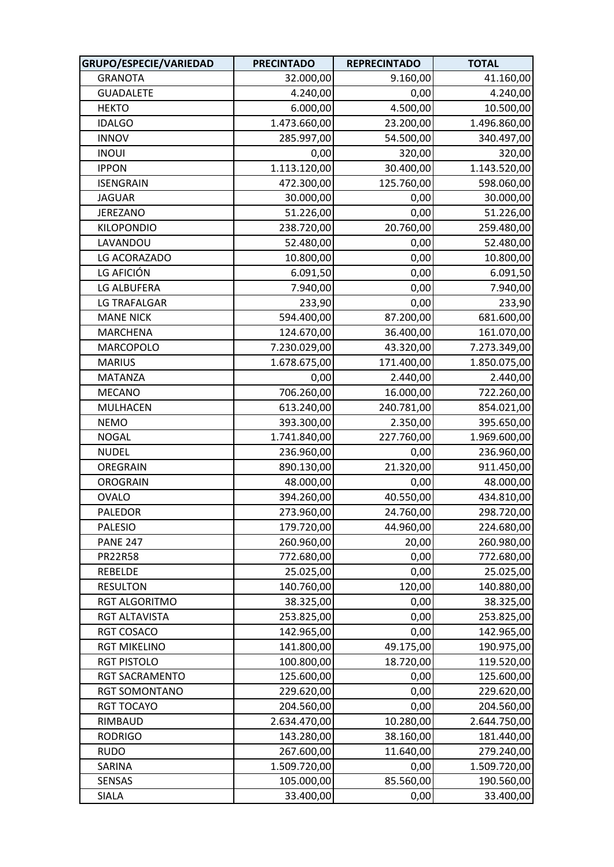| GRUPO/ESPECIE/VARIEDAD | <b>PRECINTADO</b> | <b>REPRECINTADO</b> | <b>TOTAL</b> |
|------------------------|-------------------|---------------------|--------------|
| <b>GRANOTA</b>         | 32.000,00         | 9.160,00            | 41.160,00    |
| <b>GUADALETE</b>       | 4.240,00          | 0,00                | 4.240,00     |
| <b>HEKTO</b>           | 6.000,00          | 4.500,00            | 10.500,00    |
| <b>IDALGO</b>          | 1.473.660,00      | 23.200,00           | 1.496.860,00 |
| <b>INNOV</b>           | 285.997,00        | 54.500,00           | 340.497,00   |
| <b>INOUI</b>           | 0,00              | 320,00              | 320,00       |
| <b>IPPON</b>           | 1.113.120,00      | 30.400,00           | 1.143.520,00 |
| <b>ISENGRAIN</b>       | 472.300,00        | 125.760,00          | 598.060,00   |
| <b>JAGUAR</b>          | 30.000,00         | 0,00                | 30.000,00    |
| <b>JEREZANO</b>        | 51.226,00         | 0,00                | 51.226,00    |
| <b>KILOPONDIO</b>      | 238.720,00        | 20.760,00           | 259.480,00   |
| LAVANDOU               | 52.480,00         | 0,00                | 52.480,00    |
| LG ACORAZADO           | 10.800,00         | 0,00                | 10.800,00    |
| LG AFICIÓN             | 6.091,50          | 0,00                | 6.091,50     |
| <b>LG ALBUFERA</b>     | 7.940,00          | 0,00                | 7.940,00     |
| LG TRAFALGAR           | 233,90            | 0,00                | 233,90       |
| <b>MANE NICK</b>       | 594.400,00        | 87.200,00           | 681.600,00   |
| <b>MARCHENA</b>        | 124.670,00        | 36.400,00           | 161.070,00   |
| MARCOPOLO              | 7.230.029,00      | 43.320,00           | 7.273.349,00 |
| <b>MARIUS</b>          | 1.678.675,00      | 171.400,00          | 1.850.075,00 |
| <b>MATANZA</b>         | 0,00              | 2.440,00            | 2.440,00     |
| <b>MECANO</b>          | 706.260,00        | 16.000,00           | 722.260,00   |
| MULHACEN               | 613.240,00        | 240.781,00          | 854.021,00   |
| <b>NEMO</b>            | 393.300,00        | 2.350,00            | 395.650,00   |
| <b>NOGAL</b>           | 1.741.840,00      | 227.760,00          | 1.969.600,00 |
| <b>NUDEL</b>           | 236.960,00        | 0,00                | 236.960,00   |
| OREGRAIN               | 890.130,00        | 21.320,00           | 911.450,00   |
| <b>OROGRAIN</b>        | 48.000,00         | 0,00                | 48.000,00    |
| <b>OVALO</b>           | 394.260,00        | 40.550,00           | 434.810,00   |
| <b>PALEDOR</b>         | 273.960,00        | 24.760,00           | 298.720,00   |
| <b>PALESIO</b>         | 179.720,00        | 44.960,00           | 224.680,00   |
| <b>PANE 247</b>        | 260.960,00        | 20,00               | 260.980,00   |
| <b>PR22R58</b>         | 772.680,00        | 0,00                | 772.680,00   |
| <b>REBELDE</b>         | 25.025,00         | 0,00                | 25.025,00    |
| <b>RESULTON</b>        | 140.760,00        | 120,00              | 140.880,00   |
| RGT ALGORITMO          | 38.325,00         | 0,00                | 38.325,00    |
| RGT ALTAVISTA          | 253.825,00        | 0,00                | 253.825,00   |
| RGT COSACO             | 142.965,00        | 0,00                | 142.965,00   |
| <b>RGT MIKELINO</b>    | 141.800,00        | 49.175,00           | 190.975,00   |
| <b>RGT PISTOLO</b>     | 100.800,00        | 18.720,00           | 119.520,00   |
| RGT SACRAMENTO         | 125.600,00        | 0,00                | 125.600,00   |
| RGT SOMONTANO          | 229.620,00        | 0,00                | 229.620,00   |
| <b>RGT TOCAYO</b>      | 204.560,00        | 0,00                | 204.560,00   |
| RIMBAUD                | 2.634.470,00      | 10.280,00           | 2.644.750,00 |
| <b>RODRIGO</b>         | 143.280,00        | 38.160,00           | 181.440,00   |
| <b>RUDO</b>            | 267.600,00        | 11.640,00           | 279.240,00   |
| SARINA                 | 1.509.720,00      | 0,00                | 1.509.720,00 |
| SENSAS                 | 105.000,00        | 85.560,00           | 190.560,00   |
| <b>SIALA</b>           | 33.400,00         | 0,00                | 33.400,00    |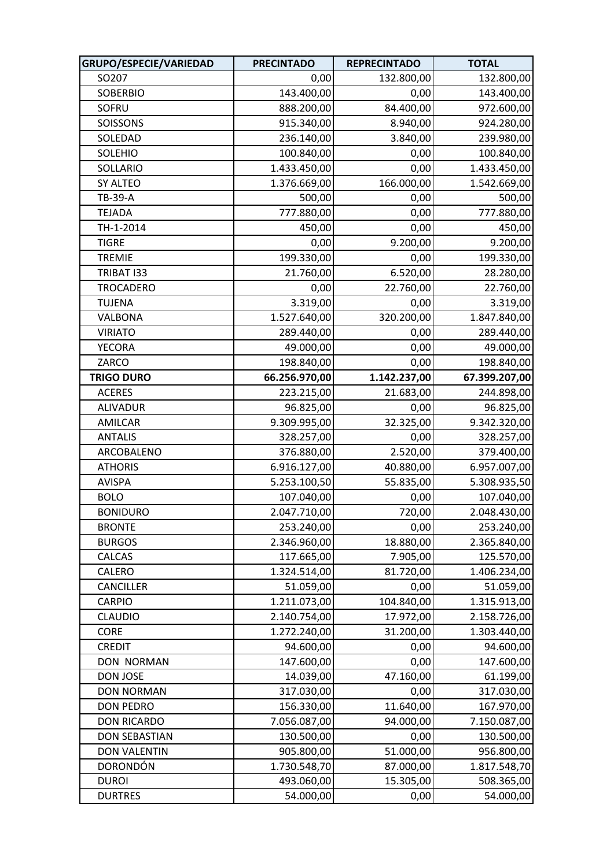| GRUPO/ESPECIE/VARIEDAD | <b>PRECINTADO</b> | <b>REPRECINTADO</b> | <b>TOTAL</b>  |
|------------------------|-------------------|---------------------|---------------|
| SO207                  | 0,00              | 132.800,00          | 132.800,00    |
| <b>SOBERBIO</b>        | 143.400,00        | 0,00                | 143.400,00    |
| SOFRU                  | 888.200,00        | 84.400,00           | 972.600,00    |
| SOISSONS               | 915.340,00        | 8.940,00            | 924.280,00    |
| SOLEDAD                | 236.140,00        | 3.840,00            | 239.980,00    |
| <b>SOLEHIO</b>         | 100.840,00        | 0,00                | 100.840,00    |
| SOLLARIO               | 1.433.450,00      | 0,00                | 1.433.450,00  |
| SY ALTEO               | 1.376.669,00      | 166.000,00          | 1.542.669,00  |
| TB-39-A                | 500,00            | 0,00                | 500,00        |
| <b>TEJADA</b>          | 777.880,00        | 0,00                | 777.880,00    |
| TH-1-2014              | 450,00            | 0,00                | 450,00        |
| <b>TIGRE</b>           | 0,00              | 9.200,00            | 9.200,00      |
| <b>TREMIE</b>          | 199.330,00        | 0,00                | 199.330,00    |
| TRIBAT I33             | 21.760,00         | 6.520,00            | 28.280,00     |
| <b>TROCADERO</b>       | 0,00              | 22.760,00           | 22.760,00     |
| <b>TUJENA</b>          | 3.319,00          | 0,00                | 3.319,00      |
| VALBONA                | 1.527.640,00      | 320.200,00          | 1.847.840,00  |
| <b>VIRIATO</b>         | 289.440,00        | 0,00                | 289.440,00    |
| <b>YECORA</b>          | 49.000,00         | 0,00                | 49.000,00     |
| ZARCO                  | 198.840,00        | 0,00                | 198.840,00    |
| <b>TRIGO DURO</b>      | 66.256.970,00     | 1.142.237,00        | 67.399.207,00 |
| <b>ACERES</b>          | 223.215,00        | 21.683,00           | 244.898,00    |
| <b>ALIVADUR</b>        | 96.825,00         | 0,00                | 96.825,00     |
| AMILCAR                | 9.309.995,00      | 32.325,00           | 9.342.320,00  |
| <b>ANTALIS</b>         | 328.257,00        | 0,00                | 328.257,00    |
| ARCOBALENO             | 376.880,00        | 2.520,00            | 379.400,00    |
| <b>ATHORIS</b>         | 6.916.127,00      | 40.880,00           | 6.957.007,00  |
| <b>AVISPA</b>          | 5.253.100,50      | 55.835,00           | 5.308.935,50  |
| <b>BOLO</b>            | 107.040,00        | 0,00                | 107.040,00    |
| <b>BONIDURO</b>        | 2.047.710,00      | 720,00              | 2.048.430,00  |
| <b>BRONTE</b>          | 253.240,00        | 0,00                | 253.240,00    |
| <b>BURGOS</b>          | 2.346.960,00      | 18.880,00           | 2.365.840,00  |
| CALCAS                 | 117.665,00        | 7.905,00            | 125.570,00    |
| CALERO                 | 1.324.514,00      | 81.720,00           | 1.406.234,00  |
| CANCILLER              | 51.059,00         | 0,00                | 51.059,00     |
| CARPIO                 | 1.211.073,00      | 104.840,00          | 1.315.913,00  |
| <b>CLAUDIO</b>         | 2.140.754,00      | 17.972,00           | 2.158.726,00  |
| <b>CORE</b>            | 1.272.240,00      | 31.200,00           | 1.303.440,00  |
| <b>CREDIT</b>          | 94.600,00         | 0,00                | 94.600,00     |
| <b>DON NORMAN</b>      | 147.600,00        | 0,00                | 147.600,00    |
| DON JOSE               | 14.039,00         | 47.160,00           | 61.199,00     |
| <b>DON NORMAN</b>      | 317.030,00        | 0,00                | 317.030,00    |
| <b>DON PEDRO</b>       | 156.330,00        | 11.640,00           | 167.970,00    |
| <b>DON RICARDO</b>     | 7.056.087,00      | 94.000,00           | 7.150.087,00  |
| <b>DON SEBASTIAN</b>   | 130.500,00        | 0,00                | 130.500,00    |
| <b>DON VALENTIN</b>    | 905.800,00        | 51.000,00           | 956.800,00    |
| <b>DORONDÓN</b>        | 1.730.548,70      | 87.000,00           | 1.817.548,70  |
| <b>DUROI</b>           | 493.060,00        | 15.305,00           | 508.365,00    |
| <b>DURTRES</b>         | 54.000,00         | 0,00                | 54.000,00     |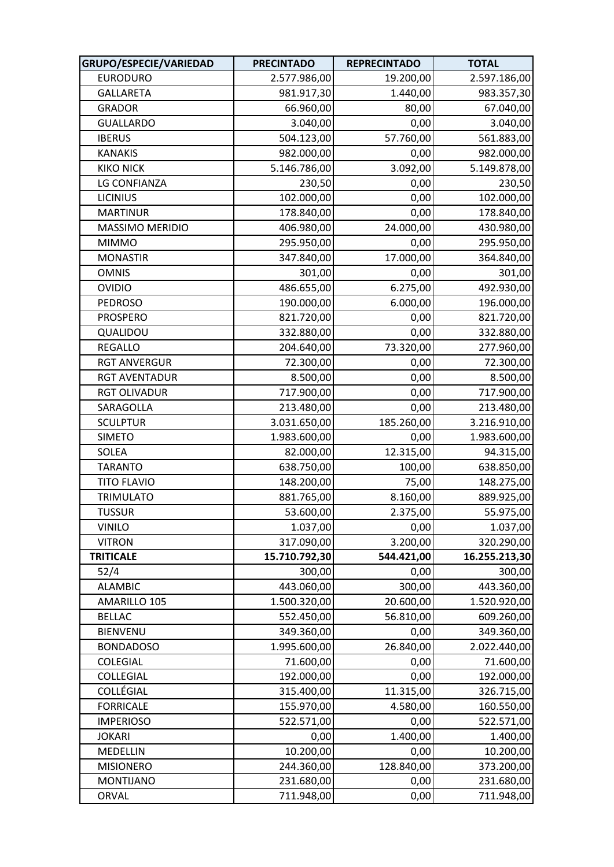| GRUPO/ESPECIE/VARIEDAD | <b>PRECINTADO</b> | <b>REPRECINTADO</b> | <b>TOTAL</b>  |
|------------------------|-------------------|---------------------|---------------|
| <b>EURODURO</b>        | 2.577.986,00      | 19.200,00           | 2.597.186,00  |
| <b>GALLARETA</b>       | 981.917,30        | 1.440,00            | 983.357,30    |
| <b>GRADOR</b>          | 66.960,00         | 80,00               | 67.040,00     |
| <b>GUALLARDO</b>       | 3.040,00          | 0,00                | 3.040,00      |
| <b>IBERUS</b>          | 504.123,00        | 57.760,00           | 561.883,00    |
| <b>KANAKIS</b>         | 982.000,00        | 0,00                | 982.000,00    |
| <b>KIKO NICK</b>       | 5.146.786,00      | 3.092,00            | 5.149.878,00  |
| LG CONFIANZA           | 230,50            | 0,00                | 230,50        |
| <b>LICINIUS</b>        | 102.000,00        | 0,00                | 102.000,00    |
| <b>MARTINUR</b>        | 178.840,00        | 0,00                | 178.840,00    |
| MASSIMO MERIDIO        | 406.980,00        | 24.000,00           | 430.980,00    |
| <b>MIMMO</b>           | 295.950,00        | 0,00                | 295.950,00    |
| <b>MONASTIR</b>        | 347.840,00        | 17.000,00           | 364.840,00    |
| <b>OMNIS</b>           | 301,00            | 0,00                | 301,00        |
| <b>OVIDIO</b>          | 486.655,00        | 6.275,00            | 492.930,00    |
| <b>PEDROSO</b>         | 190.000,00        | 6.000,00            | 196.000,00    |
| <b>PROSPERO</b>        | 821.720,00        | 0,00                | 821.720,00    |
| QUALIDOU               | 332.880,00        | 0,00                | 332.880,00    |
| <b>REGALLO</b>         | 204.640,00        | 73.320,00           | 277.960,00    |
| <b>RGT ANVERGUR</b>    | 72.300,00         | 0,00                | 72.300,00     |
| <b>RGT AVENTADUR</b>   | 8.500,00          | 0,00                | 8.500,00      |
| <b>RGT OLIVADUR</b>    | 717.900,00        | 0,00                | 717.900,00    |
| SARAGOLLA              | 213.480,00        | 0,00                | 213.480,00    |
| <b>SCULPTUR</b>        | 3.031.650,00      | 185.260,00          | 3.216.910,00  |
| <b>SIMETO</b>          | 1.983.600,00      | 0,00                | 1.983.600,00  |
| SOLEA                  | 82.000,00         | 12.315,00           | 94.315,00     |
| <b>TARANTO</b>         | 638.750,00        | 100,00              | 638.850,00    |
| <b>TITO FLAVIO</b>     | 148.200,00        | 75,00               | 148.275,00    |
| <b>TRIMULATO</b>       | 881.765,00        | 8.160,00            | 889.925,00    |
| <b>TUSSUR</b>          | 53.600,00         | 2.375,00            | 55.975,00     |
| <b>VINILO</b>          | 1.037,00          | 0,00                | 1.037,00      |
| <b>VITRON</b>          | 317.090,00        | 3.200,00            | 320.290,00    |
| <b>TRITICALE</b>       | 15.710.792,30     | 544.421,00          | 16.255.213,30 |
| 52/4                   | 300,00            | 0,00                | 300,00        |
| <b>ALAMBIC</b>         | 443.060,00        | 300,00              | 443.360,00    |
| AMARILLO 105           | 1.500.320,00      | 20.600,00           | 1.520.920,00  |
| <b>BELLAC</b>          | 552.450,00        | 56.810,00           | 609.260,00    |
| <b>BIENVENU</b>        | 349.360,00        | 0,00                | 349.360,00    |
| <b>BONDADOSO</b>       | 1.995.600,00      | 26.840,00           | 2.022.440,00  |
| <b>COLEGIAL</b>        | 71.600,00         | 0,00                | 71.600,00     |
| COLLEGIAL              | 192.000,00        | 0,00                | 192.000,00    |
| COLLÉGIAL              | 315.400,00        | 11.315,00           | 326.715,00    |
| <b>FORRICALE</b>       | 155.970,00        | 4.580,00            | 160.550,00    |
| <b>IMPERIOSO</b>       | 522.571,00        | 0,00                | 522.571,00    |
| <b>JOKARI</b>          | 0,00              | 1.400,00            | 1.400,00      |
| MEDELLIN               | 10.200,00         | 0,00                | 10.200,00     |
| <b>MISIONERO</b>       | 244.360,00        | 128.840,00          | 373.200,00    |
| <b>MONTIJANO</b>       | 231.680,00        | 0,00                | 231.680,00    |
| ORVAL                  | 711.948,00        | 0,00                | 711.948,00    |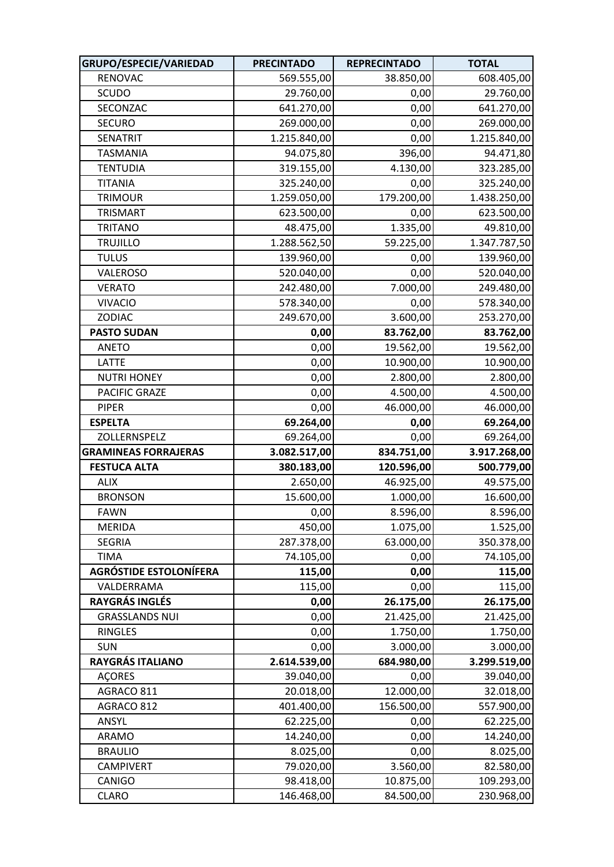| GRUPO/ESPECIE/VARIEDAD        | <b>PRECINTADO</b> | <b>REPRECINTADO</b> | <b>TOTAL</b> |
|-------------------------------|-------------------|---------------------|--------------|
| RENOVAC                       | 569.555,00        | 38.850,00           | 608.405,00   |
| SCUDO                         | 29.760,00         | 0,00                | 29.760,00    |
| SECONZAC                      | 641.270,00        | 0,00                | 641.270,00   |
| <b>SECURO</b>                 | 269.000,00        | 0,00                | 269.000,00   |
| SENATRIT                      | 1.215.840,00      | 0,00                | 1.215.840,00 |
| <b>TASMANIA</b>               | 94.075,80         | 396,00              | 94.471,80    |
| <b>TENTUDIA</b>               | 319.155,00        | 4.130,00            | 323.285,00   |
| <b>TITANIA</b>                | 325.240,00        | 0,00                | 325.240,00   |
| <b>TRIMOUR</b>                | 1.259.050,00      | 179.200,00          | 1.438.250,00 |
| <b>TRISMART</b>               | 623.500,00        | 0,00                | 623.500,00   |
| <b>TRITANO</b>                | 48.475,00         | 1.335,00            | 49.810,00    |
| <b>TRUJILLO</b>               | 1.288.562,50      | 59.225,00           | 1.347.787,50 |
| <b>TULUS</b>                  | 139.960,00        | 0,00                | 139.960,00   |
| VALEROSO                      | 520.040,00        | 0,00                | 520.040,00   |
| <b>VERATO</b>                 | 242.480,00        | 7.000,00            | 249.480,00   |
| <b>VIVACIO</b>                | 578.340,00        | 0,00                | 578.340,00   |
| <b>ZODIAC</b>                 | 249.670,00        | 3.600,00            | 253.270,00   |
| <b>PASTO SUDAN</b>            | 0,00              | 83.762,00           | 83.762,00    |
| <b>ANETO</b>                  | 0,00              | 19.562,00           | 19.562,00    |
| <b>LATTE</b>                  | 0,00              | 10.900,00           | 10.900,00    |
| <b>NUTRI HONEY</b>            | 0,00              | 2.800,00            | 2.800,00     |
| PACIFIC GRAZE                 | 0,00              | 4.500,00            | 4.500,00     |
| <b>PIPER</b>                  | 0,00              | 46.000,00           | 46.000,00    |
| <b>ESPELTA</b>                | 69.264,00         | 0,00                | 69.264,00    |
| ZOLLERNSPELZ                  | 69.264,00         | 0,00                | 69.264,00    |
| <b>GRAMINEAS FORRAJERAS</b>   | 3.082.517,00      | 834.751,00          | 3.917.268,00 |
| <b>FESTUCA ALTA</b>           | 380.183,00        | 120.596,00          | 500.779,00   |
| <b>ALIX</b>                   | 2.650,00          | 46.925,00           | 49.575,00    |
| <b>BRONSON</b>                | 15.600,00         | 1.000,00            | 16.600,00    |
| <b>FAWN</b>                   | 0,00              | 8.596,00            | 8.596,00     |
| <b>MERIDA</b>                 | 450,00            | 1.075,00            | 1.525,00     |
| <b>SEGRIA</b>                 | 287.378,00        | 63.000,00           | 350.378,00   |
| <b>TIMA</b>                   | 74.105,00         | 0,00                | 74.105,00    |
| <b>AGRÓSTIDE ESTOLONÍFERA</b> | 115,00            | 0,00                | 115,00       |
| VALDERRAMA                    | 115,00            | 0,00                | 115,00       |
| RAYGRÁS INGLÉS                | 0,00              | 26.175,00           | 26.175,00    |
| <b>GRASSLANDS NUI</b>         | 0,00              | 21.425,00           | 21.425,00    |
| <b>RINGLES</b>                | 0,00              | 1.750,00            | 1.750,00     |
| <b>SUN</b>                    | 0,00              | 3.000,00            | 3.000,00     |
| RAYGRÁS ITALIANO              | 2.614.539,00      | 684.980,00          | 3.299.519,00 |
| <b>ACORES</b>                 | 39.040,00         | 0,00                | 39.040,00    |
| AGRACO 811                    | 20.018,00         | 12.000,00           | 32.018,00    |
| AGRACO 812                    | 401.400,00        | 156.500,00          | 557.900,00   |
| ANSYL                         | 62.225,00         | 0,00                | 62.225,00    |
| <b>ARAMO</b>                  | 14.240,00         | 0,00                | 14.240,00    |
| <b>BRAULIO</b>                | 8.025,00          | 0,00                | 8.025,00     |
| <b>CAMPIVERT</b>              | 79.020,00         | 3.560,00            | 82.580,00    |
| CANIGO                        | 98.418,00         | 10.875,00           | 109.293,00   |
| <b>CLARO</b>                  | 146.468,00        | 84.500,00           | 230.968,00   |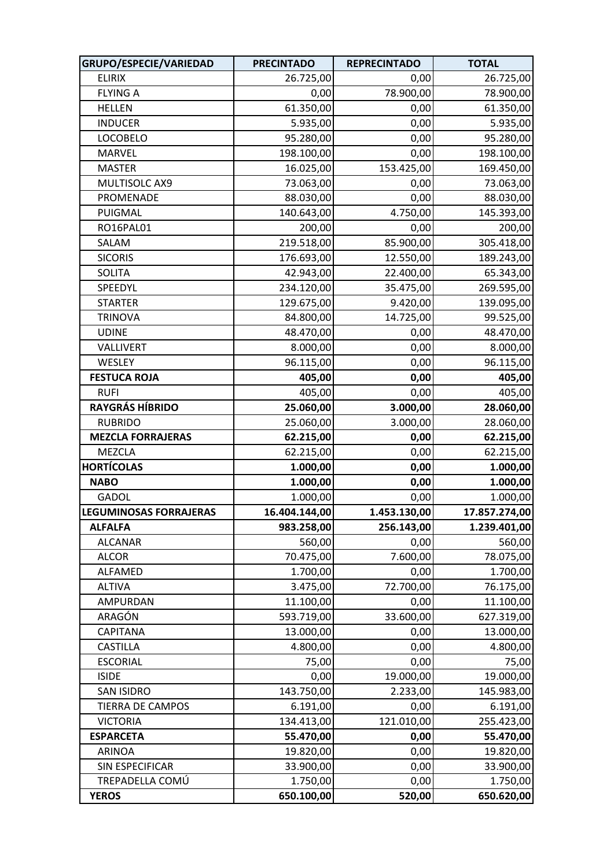| GRUPO/ESPECIE/VARIEDAD        | <b>PRECINTADO</b> | <b>REPRECINTADO</b> | <b>TOTAL</b>  |
|-------------------------------|-------------------|---------------------|---------------|
| <b>ELIRIX</b>                 | 26.725,00         | 0,00                | 26.725,00     |
| <b>FLYING A</b>               | 0,00              | 78.900,00           | 78.900,00     |
| <b>HELLEN</b>                 | 61.350,00         | 0,00                | 61.350,00     |
| <b>INDUCER</b>                | 5.935,00          | 0,00                | 5.935,00      |
| <b>LOCOBELO</b>               | 95.280,00         | 0,00                | 95.280,00     |
| <b>MARVEL</b>                 | 198.100,00        | 0,00                | 198.100,00    |
| <b>MASTER</b>                 | 16.025,00         | 153.425,00          | 169.450,00    |
| MULTISOLC AX9                 | 73.063,00         | 0,00                | 73.063,00     |
| PROMENADE                     | 88.030,00         | 0,00                | 88.030,00     |
| PUIGMAL                       | 140.643,00        | 4.750,00            | 145.393,00    |
| RO16PAL01                     | 200,00            | 0,00                | 200,00        |
| SALAM                         | 219.518,00        | 85.900,00           | 305.418,00    |
| <b>SICORIS</b>                | 176.693,00        | 12.550,00           | 189.243,00    |
| <b>SOLITA</b>                 | 42.943,00         | 22.400,00           | 65.343,00     |
| SPEEDYL                       | 234.120,00        | 35.475,00           | 269.595,00    |
| <b>STARTER</b>                | 129.675,00        | 9.420,00            | 139.095,00    |
| <b>TRINOVA</b>                | 84.800,00         | 14.725,00           | 99.525,00     |
| <b>UDINE</b>                  | 48.470,00         | 0,00                | 48.470,00     |
| VALLIVERT                     | 8.000,00          | 0,00                | 8.000,00      |
| WESLEY                        | 96.115,00         | 0,00                | 96.115,00     |
| <b>FESTUCA ROJA</b>           | 405,00            | 0,00                | 405,00        |
| <b>RUFI</b>                   | 405,00            | 0,00                | 405,00        |
| <b>RAYGRÁS HÍBRIDO</b>        | 25.060,00         | 3.000,00            | 28.060,00     |
| <b>RUBRIDO</b>                | 25.060,00         | 3.000,00            | 28.060,00     |
| <b>MEZCLA FORRAJERAS</b>      | 62.215,00         | 0,00                | 62.215,00     |
| MEZCLA                        | 62.215,00         | 0,00                | 62.215,00     |
| <b>HORTÍCOLAS</b>             | 1.000,00          | 0,00                | 1.000,00      |
| <b>NABO</b>                   | 1.000,00          | 0,00                | 1.000,00      |
| <b>GADOL</b>                  | 1.000,00          | 0,00                | 1.000,00      |
| <b>LEGUMINOSAS FORRAJERAS</b> | 16.404.144,00     | 1.453.130,00        | 17.857.274,00 |
| <b>ALFALFA</b>                | 983.258,00        | 256.143,00          | 1.239.401,00  |
| <b>ALCANAR</b>                | 560,00            | 0,00                | 560,00        |
| <b>ALCOR</b>                  | 70.475,00         | 7.600,00            | 78.075,00     |
| ALFAMED                       | 1.700,00          | 0,00                | 1.700,00      |
| <b>ALTIVA</b>                 | 3.475,00          | 72.700,00           | 76.175,00     |
| AMPURDAN                      | 11.100,00         | 0,00                | 11.100,00     |
| ARAGÓN                        | 593.719,00        | 33.600,00           | 627.319,00    |
| <b>CAPITANA</b>               | 13.000,00         | 0,00                | 13.000,00     |
| <b>CASTILLA</b>               | 4.800,00          | 0,00                | 4.800,00      |
| <b>ESCORIAL</b>               | 75,00             | 0,00                | 75,00         |
| <b>ISIDE</b>                  | 0,00              | 19.000,00           | 19.000,00     |
| <b>SAN ISIDRO</b>             | 143.750,00        | 2.233,00            | 145.983,00    |
| TIERRA DE CAMPOS              | 6.191,00          | 0,00                | 6.191,00      |
| <b>VICTORIA</b>               | 134.413,00        | 121.010,00          | 255.423,00    |
| <b>ESPARCETA</b>              | 55.470,00         | 0,00                | 55.470,00     |
| <b>ARINOA</b>                 | 19.820,00         | 0,00                | 19.820,00     |
| SIN ESPECIFICAR               | 33.900,00         | 0,00                | 33.900,00     |
| TREPADELLA COMÚ               | 1.750,00          | 0,00                | 1.750,00      |
| <b>YEROS</b>                  | 650.100,00        | 520,00              | 650.620,00    |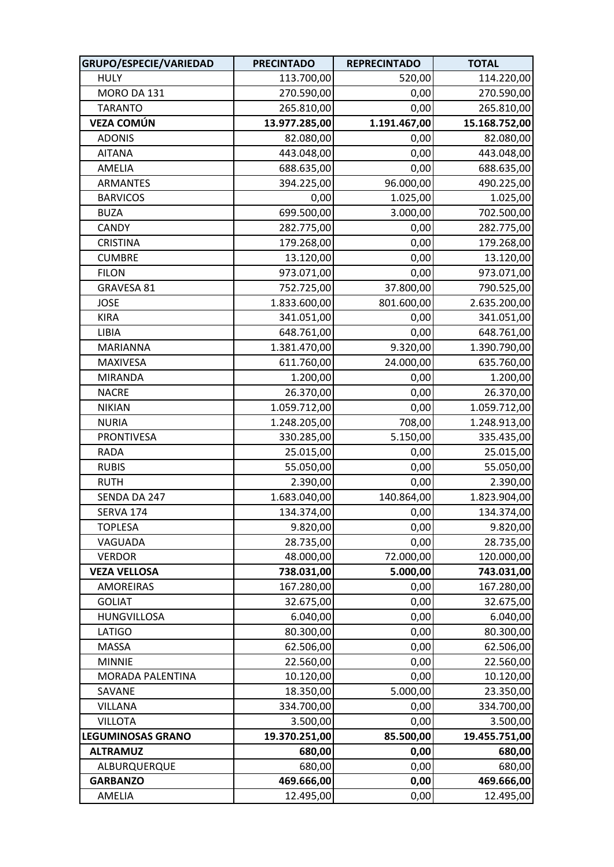| GRUPO/ESPECIE/VARIEDAD   | <b>PRECINTADO</b> | <b>REPRECINTADO</b> | <b>TOTAL</b>  |
|--------------------------|-------------------|---------------------|---------------|
| <b>HULY</b>              | 113.700,00        | 520,00              | 114.220,00    |
| MORO DA 131              | 270.590,00        | 0,00                | 270.590,00    |
| <b>TARANTO</b>           | 265.810,00        | 0,00                | 265.810,00    |
| <b>VEZA COMÚN</b>        | 13.977.285,00     | 1.191.467,00        | 15.168.752,00 |
| <b>ADONIS</b>            | 82.080,00         | 0,00                | 82.080,00     |
| <b>AITANA</b>            | 443.048,00        | 0,00                | 443.048,00    |
| AMELIA                   | 688.635,00        | 0,00                | 688.635,00    |
| <b>ARMANTES</b>          | 394.225,00        | 96.000,00           | 490.225,00    |
| <b>BARVICOS</b>          | 0,00              | 1.025,00            | 1.025,00      |
| <b>BUZA</b>              | 699.500,00        | 3.000,00            | 702.500,00    |
| <b>CANDY</b>             | 282.775,00        | 0,00                | 282.775,00    |
| <b>CRISTINA</b>          | 179.268,00        | 0,00                | 179.268,00    |
| <b>CUMBRE</b>            | 13.120,00         | 0,00                | 13.120,00     |
| <b>FILON</b>             | 973.071,00        | 0,00                | 973.071,00    |
| GRAVESA 81               | 752.725,00        | 37.800,00           | 790.525,00    |
| <b>JOSE</b>              | 1.833.600,00      | 801.600,00          | 2.635.200,00  |
| <b>KIRA</b>              | 341.051,00        | 0,00                | 341.051,00    |
| LIBIA                    | 648.761,00        | 0,00                | 648.761,00    |
| <b>MARIANNA</b>          | 1.381.470,00      | 9.320,00            | 1.390.790,00  |
| MAXIVESA                 | 611.760,00        | 24.000,00           | 635.760,00    |
| <b>MIRANDA</b>           | 1.200,00          | 0,00                | 1.200,00      |
| <b>NACRE</b>             | 26.370,00         | 0,00                | 26.370,00     |
| <b>NIKIAN</b>            | 1.059.712,00      | 0,00                | 1.059.712,00  |
| <b>NURIA</b>             | 1.248.205,00      | 708,00              | 1.248.913,00  |
| <b>PRONTIVESA</b>        | 330.285,00        | 5.150,00            | 335.435,00    |
| <b>RADA</b>              | 25.015,00         | 0,00                | 25.015,00     |
| <b>RUBIS</b>             | 55.050,00         | 0,00                | 55.050,00     |
| <b>RUTH</b>              | 2.390,00          | 0,00                | 2.390,00      |
| SENDA DA 247             | 1.683.040,00      | 140.864,00          | 1.823.904,00  |
| SERVA 174                | 134.374,00        | 0,00                | 134.374,00    |
| <b>TOPLESA</b>           | 9.820,00          | 0,00                | 9.820,00      |
| VAGUADA                  | 28.735,00         | 0,00                | 28.735,00     |
| <b>VERDOR</b>            | 48.000,00         | 72.000,00           | 120.000,00    |
| <b>VEZA VELLOSA</b>      | 738.031,00        | 5.000,00            | 743.031,00    |
| <b>AMOREIRAS</b>         | 167.280,00        | 0,00                | 167.280,00    |
| <b>GOLIAT</b>            | 32.675,00         | 0,00                | 32.675,00     |
| HUNGVILLOSA              | 6.040,00          | 0,00                | 6.040,00      |
| <b>LATIGO</b>            | 80.300,00         | 0,00                | 80.300,00     |
| MASSA                    | 62.506,00         | 0,00                | 62.506,00     |
| <b>MINNIE</b>            | 22.560,00         | 0,00                | 22.560,00     |
| MORADA PALENTINA         | 10.120,00         | 0,00                | 10.120,00     |
| SAVANE                   | 18.350,00         | 5.000,00            | 23.350,00     |
| <b>VILLANA</b>           | 334.700,00        | 0,00                | 334.700,00    |
| <b>VILLOTA</b>           | 3.500,00          | 0,00                | 3.500,00      |
| <b>LEGUMINOSAS GRANO</b> | 19.370.251,00     | 85.500,00           | 19.455.751,00 |
| <b>ALTRAMUZ</b>          | 680,00            | 0,00                | 680,00        |
| ALBURQUERQUE             | 680,00            | 0,00                | 680,00        |
| <b>GARBANZO</b>          | 469.666,00        | 0,00                | 469.666,00    |
| AMELIA                   | 12.495,00         | 0,00                | 12.495,00     |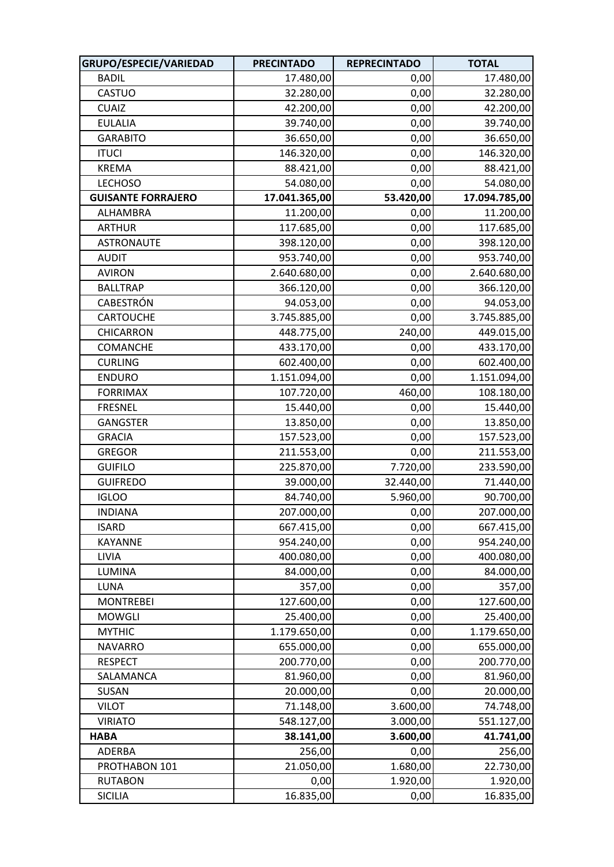| GRUPO/ESPECIE/VARIEDAD    | <b>PRECINTADO</b> | <b>REPRECINTADO</b> | <b>TOTAL</b>  |
|---------------------------|-------------------|---------------------|---------------|
| <b>BADIL</b>              | 17.480,00         | 0,00                | 17.480,00     |
| CASTUO                    | 32.280,00         | 0,00                | 32.280,00     |
| <b>CUAIZ</b>              | 42.200,00         | 0,00                | 42.200,00     |
| <b>EULALIA</b>            | 39.740,00         | 0,00                | 39.740,00     |
| <b>GARABITO</b>           | 36.650,00         | 0,00                | 36.650,00     |
| <b>ITUCI</b>              | 146.320,00        | 0,00                | 146.320,00    |
| <b>KREMA</b>              | 88.421,00         | 0,00                | 88.421,00     |
| <b>LECHOSO</b>            | 54.080,00         | 0,00                | 54.080,00     |
| <b>GUISANTE FORRAJERO</b> | 17.041.365,00     | 53.420,00           | 17.094.785,00 |
| ALHAMBRA                  | 11.200,00         | 0,00                | 11.200,00     |
| <b>ARTHUR</b>             | 117.685,00        | 0,00                | 117.685,00    |
| <b>ASTRONAUTE</b>         | 398.120,00        | 0,00                | 398.120,00    |
| <b>AUDIT</b>              | 953.740,00        | 0,00                | 953.740,00    |
| <b>AVIRON</b>             | 2.640.680,00      | 0,00                | 2.640.680,00  |
| <b>BALLTRAP</b>           | 366.120,00        | 0,00                | 366.120,00    |
| CABESTRÓN                 | 94.053,00         | 0,00                | 94.053,00     |
| CARTOUCHE                 | 3.745.885,00      | 0,00                | 3.745.885,00  |
| CHICARRON                 | 448.775,00        | 240,00              | 449.015,00    |
| <b>COMANCHE</b>           | 433.170,00        | 0,00                | 433.170,00    |
| <b>CURLING</b>            | 602.400,00        | 0,00                | 602.400,00    |
| <b>ENDURO</b>             | 1.151.094,00      | 0,00                | 1.151.094,00  |
| <b>FORRIMAX</b>           | 107.720,00        | 460,00              | 108.180,00    |
| <b>FRESNEL</b>            | 15.440,00         | 0,00                | 15.440,00     |
| <b>GANGSTER</b>           | 13.850,00         | 0,00                | 13.850,00     |
| <b>GRACIA</b>             | 157.523,00        | 0,00                | 157.523,00    |
| <b>GREGOR</b>             | 211.553,00        | 0,00                | 211.553,00    |
| <b>GUIFILO</b>            | 225.870,00        | 7.720,00            | 233.590,00    |
| <b>GUIFREDO</b>           | 39.000,00         | 32.440,00           | 71.440,00     |
| <b>IGLOO</b>              | 84.740,00         | 5.960,00            | 90.700,00     |
| <b>INDIANA</b>            | 207.000,00        | 0,00                | 207.000,00    |
| <b>ISARD</b>              | 667.415,00        | 0,00                | 667.415,00    |
| KAYANNE                   | 954.240,00        | 0,00                | 954.240,00    |
| LIVIA                     | 400.080,00        | 0,00                | 400.080,00    |
| <b>LUMINA</b>             | 84.000,00         | 0,00                | 84.000,00     |
| LUNA                      | 357,00            | 0,00                | 357,00        |
| <b>MONTREBEI</b>          | 127.600,00        | 0,00                | 127.600,00    |
| <b>MOWGLI</b>             | 25.400,00         | 0,00                | 25.400,00     |
| <b>MYTHIC</b>             | 1.179.650,00      | 0,00                | 1.179.650,00  |
| <b>NAVARRO</b>            | 655.000,00        | 0,00                | 655.000,00    |
| <b>RESPECT</b>            | 200.770,00        | 0,00                | 200.770,00    |
| SALAMANCA                 | 81.960,00         | 0,00                | 81.960,00     |
| SUSAN                     | 20.000,00         | 0,00                | 20.000,00     |
| <b>VILOT</b>              | 71.148,00         | 3.600,00            | 74.748,00     |
| <b>VIRIATO</b>            | 548.127,00        | 3.000,00            | 551.127,00    |
| <b>HABA</b>               | 38.141,00         | 3.600,00            | 41.741,00     |
| <b>ADERBA</b>             | 256,00            | 0,00                | 256,00        |
| PROTHABON 101             | 21.050,00         | 1.680,00            | 22.730,00     |
| <b>RUTABON</b>            | 0,00              | 1.920,00            | 1.920,00      |
| <b>SICILIA</b>            | 16.835,00         | 0,00                | 16.835,00     |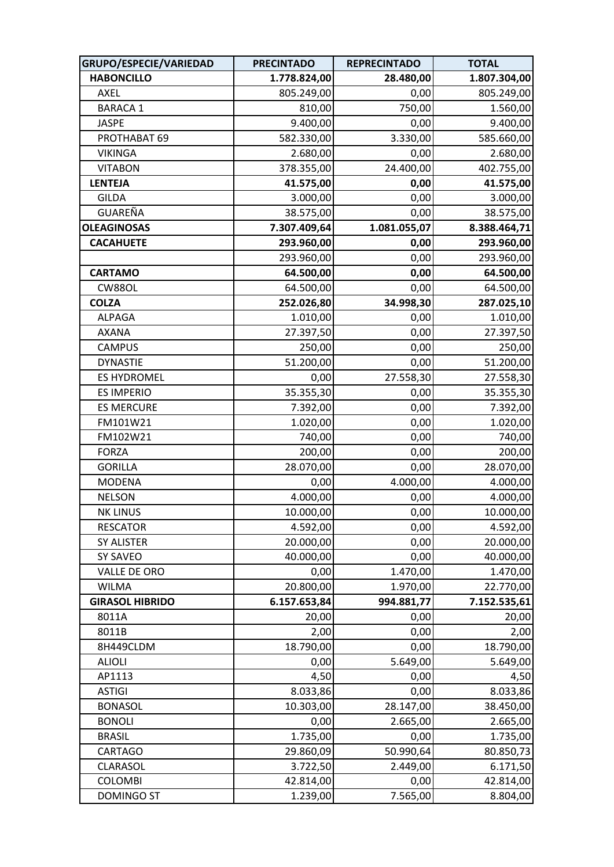| GRUPO/ESPECIE/VARIEDAD | <b>PRECINTADO</b> | <b>REPRECINTADO</b> | <b>TOTAL</b> |
|------------------------|-------------------|---------------------|--------------|
| <b>HABONCILLO</b>      | 1.778.824,00      | 28.480,00           | 1.807.304,00 |
| AXEL                   | 805.249,00        | 0,00                | 805.249,00   |
| <b>BARACA 1</b>        | 810,00            | 750,00              | 1.560,00     |
| <b>JASPE</b>           | 9.400,00          | 0,00                | 9.400,00     |
| PROTHABAT 69           | 582.330,00        | 3.330,00            | 585.660,00   |
| <b>VIKINGA</b>         | 2.680,00          | 0,00                | 2.680,00     |
| <b>VITABON</b>         | 378.355,00        | 24.400,00           | 402.755,00   |
| <b>LENTEJA</b>         | 41.575,00         | 0,00                | 41.575,00    |
| <b>GILDA</b>           | 3.000,00          | 0,00                | 3.000,00     |
| GUAREÑA                | 38.575,00         | 0,00                | 38.575,00    |
| <b>OLEAGINOSAS</b>     | 7.307.409,64      | 1.081.055,07        | 8.388.464,71 |
| <b>CACAHUETE</b>       | 293.960,00        | 0,00                | 293.960,00   |
|                        | 293.960,00        | 0,00                | 293.960,00   |
| <b>CARTAMO</b>         | 64.500,00         | 0,00                | 64.500,00    |
| CW88OL                 | 64.500,00         | 0,00                | 64.500,00    |
| <b>COLZA</b>           | 252.026,80        | 34.998,30           | 287.025,10   |
| <b>ALPAGA</b>          | 1.010,00          | 0,00                | 1.010,00     |
| AXANA                  | 27.397,50         | 0,00                | 27.397,50    |
| <b>CAMPUS</b>          | 250,00            | 0,00                | 250,00       |
| <b>DYNASTIE</b>        | 51.200,00         | 0,00                | 51.200,00    |
| <b>ES HYDROMEL</b>     | 0,00              | 27.558,30           | 27.558,30    |
| <b>ES IMPERIO</b>      | 35.355,30         | 0,00                | 35.355,30    |
| <b>ES MERCURE</b>      | 7.392,00          | 0,00                | 7.392,00     |
| FM101W21               | 1.020,00          | 0,00                | 1.020,00     |
| FM102W21               | 740,00            | 0,00                | 740,00       |
| <b>FORZA</b>           | 200,00            | 0,00                | 200,00       |
| <b>GORILLA</b>         | 28.070,00         | 0,00                | 28.070,00    |
| <b>MODENA</b>          | 0,00              | 4.000,00            | 4.000,00     |
| <b>NELSON</b>          | 4.000,00          | 0,00                | 4.000,00     |
| <b>NK LINUS</b>        | 10.000,00         | 0,00                | 10.000,00    |
| <b>RESCATOR</b>        | 4.592,00          | 0,00                | 4.592,00     |
| SY ALISTER             | 20.000,00         | 0,00                | 20.000,00    |
| SY SAVEO               | 40.000,00         | 0,00                | 40.000,00    |
| VALLE DE ORO           | 0,00              | 1.470,00            | 1.470,00     |
| <b>WILMA</b>           | 20.800,00         | 1.970,00            | 22.770,00    |
| <b>GIRASOL HIBRIDO</b> | 6.157.653,84      | 994.881,77          | 7.152.535,61 |
| 8011A                  | 20,00             | 0,00                | 20,00        |
| 8011B                  | 2,00              | 0,00                | 2,00         |
| 8H449CLDM              | 18.790,00         | 0,00                | 18.790,00    |
| <b>ALIOLI</b>          | 0,00              | 5.649,00            | 5.649,00     |
| AP1113                 | 4,50              | 0,00                | 4,50         |
| <b>ASTIGI</b>          | 8.033,86          | 0,00                | 8.033,86     |
| <b>BONASOL</b>         | 10.303,00         | 28.147,00           | 38.450,00    |
| <b>BONOLI</b>          | 0,00              | 2.665,00            | 2.665,00     |
| <b>BRASIL</b>          | 1.735,00          | 0,00                | 1.735,00     |
| <b>CARTAGO</b>         | 29.860,09         | 50.990,64           | 80.850,73    |
| <b>CLARASOL</b>        | 3.722,50          | 2.449,00            | 6.171,50     |
| <b>COLOMBI</b>         | 42.814,00         | 0,00                | 42.814,00    |
| <b>DOMINGO ST</b>      | 1.239,00          | 7.565,00            | 8.804,00     |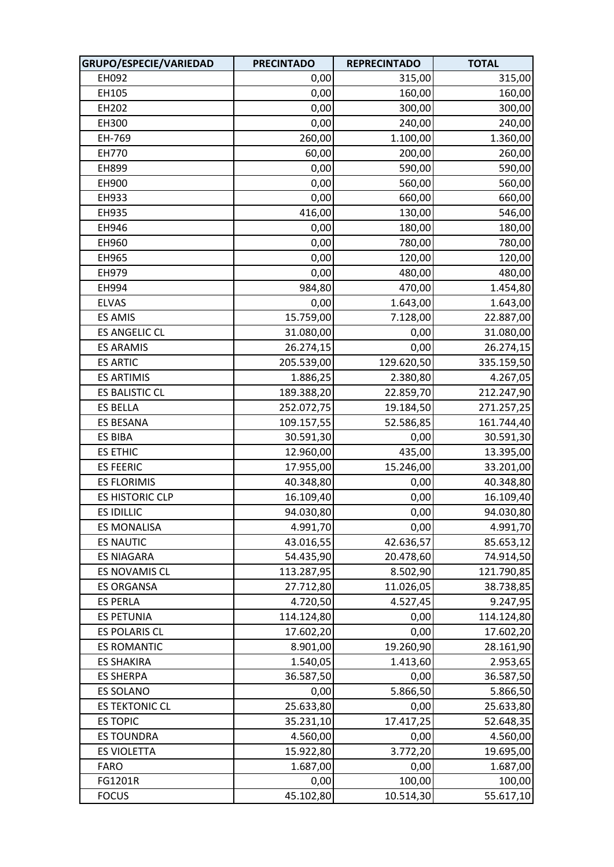| GRUPO/ESPECIE/VARIEDAD | <b>PRECINTADO</b> | <b>REPRECINTADO</b> | <b>TOTAL</b> |
|------------------------|-------------------|---------------------|--------------|
| EH092                  | 0,00              | 315,00              | 315,00       |
| EH105                  | 0,00              | 160,00              | 160,00       |
| EH202                  | 0,00              | 300,00              | 300,00       |
| EH300                  | 0,00              | 240,00              | 240,00       |
| EH-769                 | 260,00            | 1.100,00            | 1.360,00     |
| EH770                  | 60,00             | 200,00              | 260,00       |
| EH899                  | 0,00              | 590,00              | 590,00       |
| EH900                  | 0,00              | 560,00              | 560,00       |
| EH933                  | 0,00              | 660,00              | 660,00       |
| EH935                  | 416,00            | 130,00              | 546,00       |
| EH946                  | 0,00              | 180,00              | 180,00       |
| EH960                  | 0,00              | 780,00              | 780,00       |
| EH965                  | 0,00              | 120,00              | 120,00       |
| EH979                  | 0,00              | 480,00              | 480,00       |
| EH994                  | 984,80            | 470,00              | 1.454,80     |
| <b>ELVAS</b>           | 0,00              | 1.643,00            | 1.643,00     |
| <b>ES AMIS</b>         | 15.759,00         | 7.128,00            | 22.887,00    |
| <b>ES ANGELIC CL</b>   | 31.080,00         | 0,00                | 31.080,00    |
| <b>ES ARAMIS</b>       | 26.274,15         | 0,00                | 26.274,15    |
| <b>ES ARTIC</b>        | 205.539,00        | 129.620,50          | 335.159,50   |
| <b>ES ARTIMIS</b>      | 1.886,25          | 2.380,80            | 4.267,05     |
| <b>ES BALISTIC CL</b>  | 189.388,20        | 22.859,70           | 212.247,90   |
| <b>ES BELLA</b>        | 252.072,75        | 19.184,50           | 271.257,25   |
| <b>ES BESANA</b>       | 109.157,55        | 52.586,85           | 161.744,40   |
| <b>ES BIBA</b>         | 30.591,30         | 0,00                | 30.591,30    |
| <b>ES ETHIC</b>        | 12.960,00         | 435,00              | 13.395,00    |
| <b>ES FEERIC</b>       | 17.955,00         | 15.246,00           | 33.201,00    |
| <b>ES FLORIMIS</b>     | 40.348,80         | 0,00                | 40.348,80    |
| <b>ES HISTORIC CLP</b> | 16.109,40         | 0,00                | 16.109,40    |
| <b>ES IDILLIC</b>      | 94.030,80         | 0,00                | 94.030,80    |
| <b>ES MONALISA</b>     | 4.991,70          | 0,00                | 4.991,70     |
| <b>ES NAUTIC</b>       | 43.016,55         | 42.636,57           | 85.653,12    |
| <b>ES NIAGARA</b>      | 54.435,90         | 20.478,60           | 74.914,50    |
| ES NOVAMIS CL          | 113.287,95        | 8.502,90            | 121.790,85   |
| <b>ES ORGANSA</b>      | 27.712,80         | 11.026,05           | 38.738,85    |
| <b>ES PERLA</b>        | 4.720,50          | 4.527,45            | 9.247,95     |
| <b>ES PETUNIA</b>      | 114.124,80        | 0,00                | 114.124,80   |
| <b>ES POLARIS CL</b>   | 17.602,20         | 0,00                | 17.602,20    |
| <b>ES ROMANTIC</b>     | 8.901,00          | 19.260,90           | 28.161,90    |
| <b>ES SHAKIRA</b>      | 1.540,05          | 1.413,60            | 2.953,65     |
| <b>ES SHERPA</b>       | 36.587,50         | 0,00                | 36.587,50    |
| <b>ES SOLANO</b>       | 0,00              | 5.866,50            | 5.866,50     |
| <b>ES TEKTONIC CL</b>  | 25.633,80         | 0,00                | 25.633,80    |
| <b>ES TOPIC</b>        | 35.231,10         | 17.417,25           | 52.648,35    |
| <b>ES TOUNDRA</b>      | 4.560,00          | 0,00                | 4.560,00     |
| <b>ES VIOLETTA</b>     | 15.922,80         | 3.772,20            | 19.695,00    |
| <b>FARO</b>            | 1.687,00          | 0,00                | 1.687,00     |
| FG1201R                | 0,00              | 100,00              | 100,00       |
| <b>FOCUS</b>           | 45.102,80         | 10.514,30           | 55.617,10    |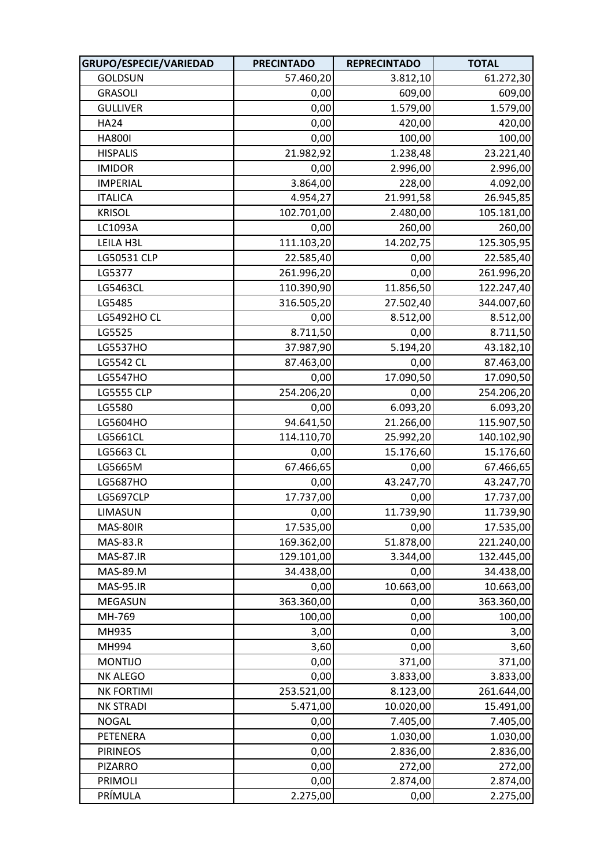| GRUPO/ESPECIE/VARIEDAD | <b>PRECINTADO</b> | <b>REPRECINTADO</b> | <b>TOTAL</b> |
|------------------------|-------------------|---------------------|--------------|
| <b>GOLDSUN</b>         | 57.460,20         | 3.812,10            | 61.272,30    |
| <b>GRASOLI</b>         | 0,00              | 609,00              | 609,00       |
| <b>GULLIVER</b>        | 0,00              | 1.579,00            | 1.579,00     |
| <b>HA24</b>            | 0,00              | 420,00              | 420,00       |
| <b>HA800I</b>          | 0,00              | 100,00              | 100,00       |
| <b>HISPALIS</b>        | 21.982,92         | 1.238,48            | 23.221,40    |
| <b>IMIDOR</b>          | 0,00              | 2.996,00            | 2.996,00     |
| <b>IMPERIAL</b>        | 3.864,00          | 228,00              | 4.092,00     |
| <b>ITALICA</b>         | 4.954,27          | 21.991,58           | 26.945,85    |
| <b>KRISOL</b>          | 102.701,00        | 2.480,00            | 105.181,00   |
| LC1093A                | 0,00              | 260,00              | 260,00       |
| LEILA H3L              | 111.103,20        | 14.202,75           | 125.305,95   |
| LG50531 CLP            | 22.585,40         | 0,00                | 22.585,40    |
| LG5377                 | 261.996,20        | 0,00                | 261.996,20   |
| LG5463CL               | 110.390,90        | 11.856,50           | 122.247,40   |
| LG5485                 | 316.505,20        | 27.502,40           | 344.007,60   |
| <b>LG5492HO CL</b>     | 0,00              | 8.512,00            | 8.512,00     |
| LG5525                 | 8.711,50          | 0,00                | 8.711,50     |
| LG5537HO               | 37.987,90         | 5.194,20            | 43.182,10    |
| <b>LG5542 CL</b>       | 87.463,00         | 0,00                | 87.463,00    |
| LG5547HO               | 0,00              | 17.090,50           | 17.090,50    |
| <b>LG5555 CLP</b>      | 254.206,20        | 0,00                | 254.206,20   |
| LG5580                 | 0,00              | 6.093,20            | 6.093,20     |
| LG5604HO               | 94.641,50         | 21.266,00           | 115.907,50   |
| LG5661CL               | 114.110,70        | 25.992,20           | 140.102,90   |
| LG5663 CL              | 0,00              | 15.176,60           | 15.176,60    |
| LG5665M                | 67.466,65         | 0,00                | 67.466,65    |
| LG5687HO               | 0,00              | 43.247,70           | 43.247,70    |
| <b>LG5697CLP</b>       | 17.737,00         | 0,00                | 17.737,00    |
| LIMASUN                | 0,00              | 11.739,90           | 11.739,90    |
| MAS-80IR               | 17.535,00         | 0,00                | 17.535,00    |
| <b>MAS-83.R</b>        | 169.362,00        | 51.878,00           | 221.240,00   |
| <b>MAS-87.IR</b>       | 129.101,00        | 3.344,00            | 132.445,00   |
| MAS-89.M               | 34.438,00         | 0,00                | 34.438,00    |
| <b>MAS-95.IR</b>       | 0,00              | 10.663,00           | 10.663,00    |
| MEGASUN                | 363.360,00        | 0,00                | 363.360,00   |
| MH-769                 | 100,00            | 0,00                | 100,00       |
| MH935                  | 3,00              | 0,00                | 3,00         |
| MH994                  | 3,60              | 0,00                | 3,60         |
| <b>MONTIJO</b>         | 0,00              | 371,00              | 371,00       |
| <b>NK ALEGO</b>        | 0,00              | 3.833,00            | 3.833,00     |
| <b>NK FORTIMI</b>      | 253.521,00        | 8.123,00            | 261.644,00   |
| <b>NK STRADI</b>       | 5.471,00          | 10.020,00           | 15.491,00    |
| <b>NOGAL</b>           | 0,00              | 7.405,00            | 7.405,00     |
| PETENERA               | 0,00              | 1.030,00            | 1.030,00     |
| <b>PIRINEOS</b>        | 0,00              | 2.836,00            | 2.836,00     |
| <b>PIZARRO</b>         | 0,00              | 272,00              | 272,00       |
| <b>PRIMOLI</b>         | 0,00              | 2.874,00            | 2.874,00     |
| PRÍMULA                | 2.275,00          | 0,00                | 2.275,00     |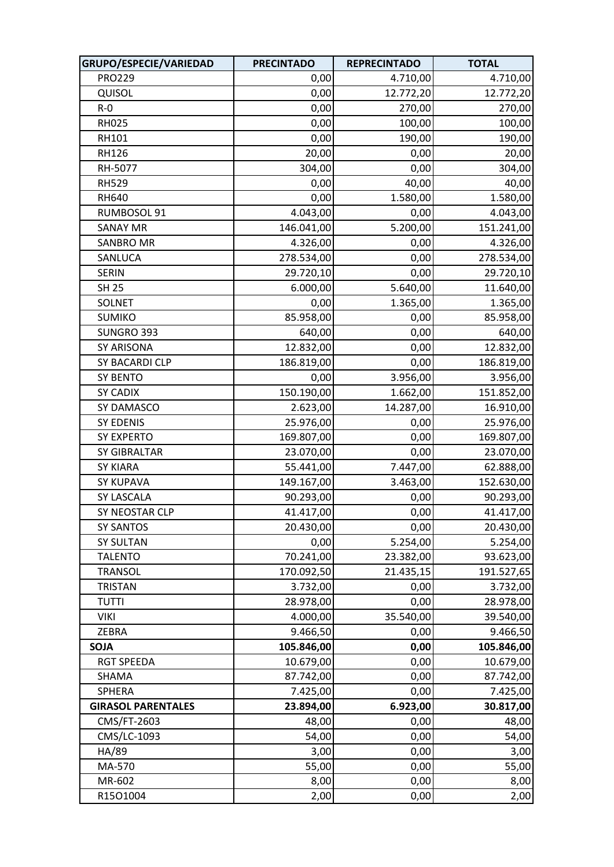| GRUPO/ESPECIE/VARIEDAD    | <b>PRECINTADO</b> | <b>REPRECINTADO</b> | <b>TOTAL</b> |
|---------------------------|-------------------|---------------------|--------------|
| <b>PRO229</b>             | 0,00              | 4.710,00            | 4.710,00     |
| QUISOL                    | 0,00              | 12.772,20           | 12.772,20    |
| $R - 0$                   | 0,00              | 270,00              | 270,00       |
| <b>RH025</b>              | 0,00              | 100,00              | 100,00       |
| RH101                     | 0,00              | 190,00              | 190,00       |
| <b>RH126</b>              | 20,00             | 0,00                | 20,00        |
| RH-5077                   | 304,00            | 0,00                | 304,00       |
| <b>RH529</b>              | 0,00              | 40,00               | 40,00        |
| <b>RH640</b>              | 0,00              | 1.580,00            | 1.580,00     |
| RUMBOSOL 91               | 4.043,00          | 0,00                | 4.043,00     |
| <b>SANAY MR</b>           | 146.041,00        | 5.200,00            | 151.241,00   |
| <b>SANBRO MR</b>          | 4.326,00          | 0,00                | 4.326,00     |
| SANLUCA                   | 278.534,00        | 0,00                | 278.534,00   |
| <b>SERIN</b>              | 29.720,10         | 0,00                | 29.720,10    |
| <b>SH 25</b>              | 6.000,00          | 5.640,00            | 11.640,00    |
| <b>SOLNET</b>             | 0,00              | 1.365,00            | 1.365,00     |
| <b>SUMIKO</b>             | 85.958,00         | 0,00                | 85.958,00    |
| SUNGRO 393                | 640,00            | 0,00                | 640,00       |
| SY ARISONA                | 12.832,00         | 0,00                | 12.832,00    |
| SY BACARDI CLP            | 186.819,00        | 0,00                | 186.819,00   |
| <b>SY BENTO</b>           | 0,00              | 3.956,00            | 3.956,00     |
| <b>SY CADIX</b>           | 150.190,00        | 1.662,00            | 151.852,00   |
| SY DAMASCO                | 2.623,00          | 14.287,00           | 16.910,00    |
| <b>SY EDENIS</b>          | 25.976,00         | 0,00                | 25.976,00    |
| <b>SY EXPERTO</b>         | 169.807,00        | 0,00                | 169.807,00   |
| <b>SY GIBRALTAR</b>       | 23.070,00         | 0,00                | 23.070,00    |
| <b>SY KIARA</b>           | 55.441,00         | 7.447,00            | 62.888,00    |
| <b>SY KUPAVA</b>          | 149.167,00        | 3.463,00            | 152.630,00   |
| SY LASCALA                | 90.293,00         | 0,00                | 90.293,00    |
| SY NEOSTAR CLP            | 41.417,00         | 0,00                | 41.417,00    |
| <b>SY SANTOS</b>          | 20.430,00         | 0,00                | 20.430,00    |
| <b>SY SULTAN</b>          | 0,00              | 5.254,00            | 5.254,00     |
| <b>TALENTO</b>            | 70.241,00         | 23.382,00           | 93.623,00    |
| <b>TRANSOL</b>            | 170.092,50        | 21.435,15           | 191.527,65   |
| <b>TRISTAN</b>            | 3.732,00          | 0,00                | 3.732,00     |
| <b>TUTTI</b>              | 28.978,00         | 0,00                | 28.978,00    |
| <b>VIKI</b>               | 4.000,00          | 35.540,00           | 39.540,00    |
| ZEBRA                     | 9.466,50          | 0,00                | 9.466,50     |
| <b>SOJA</b>               | 105.846,00        | 0,00                | 105.846,00   |
| <b>RGT SPEEDA</b>         | 10.679,00         | 0,00                | 10.679,00    |
| SHAMA                     | 87.742,00         | 0,00                | 87.742,00    |
| SPHERA                    | 7.425,00          | 0,00                | 7.425,00     |
| <b>GIRASOL PARENTALES</b> | 23.894,00         | 6.923,00            | 30.817,00    |
| CMS/FT-2603               | 48,00             | 0,00                | 48,00        |
| CMS/LC-1093               | 54,00             | 0,00                | 54,00        |
| HA/89                     | 3,00              | 0,00                | 3,00         |
| MA-570                    | 55,00             | 0,00                | 55,00        |
| MR-602                    | 8,00              | 0,00                | 8,00         |
| R15O1004                  | 2,00              | 0,00                | 2,00         |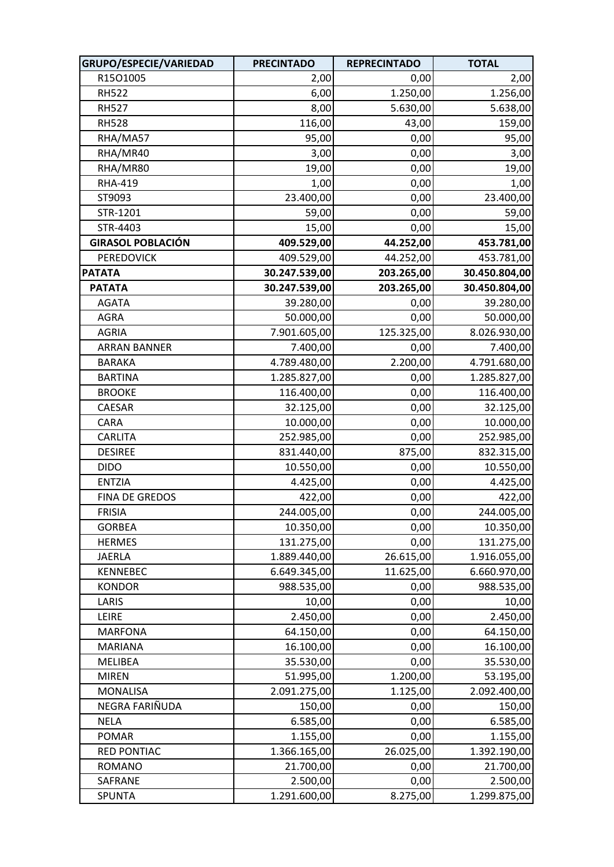| GRUPO/ESPECIE/VARIEDAD   | <b>PRECINTADO</b> | <b>REPRECINTADO</b> | <b>TOTAL</b>  |
|--------------------------|-------------------|---------------------|---------------|
| R15O1005                 | 2,00              | 0,00                | 2,00          |
| <b>RH522</b>             | 6,00              | 1.250,00            | 1.256,00      |
| <b>RH527</b>             | 8,00              | 5.630,00            | 5.638,00      |
| <b>RH528</b>             | 116,00            | 43,00               | 159,00        |
| RHA/MA57                 | 95,00             | 0,00                | 95,00         |
| RHA/MR40                 | 3,00              | 0,00                | 3,00          |
| RHA/MR80                 | 19,00             | 0,00                | 19,00         |
| <b>RHA-419</b>           | 1,00              | 0,00                | 1,00          |
| ST9093                   | 23.400,00         | 0,00                | 23.400,00     |
| STR-1201                 | 59,00             | 0,00                | 59,00         |
| STR-4403                 | 15,00             | 0,00                | 15,00         |
| <b>GIRASOL POBLACIÓN</b> | 409.529,00        | 44.252,00           | 453.781,00    |
| <b>PEREDOVICK</b>        | 409.529,00        | 44.252,00           | 453.781,00    |
| <b>PATATA</b>            | 30.247.539,00     | 203.265,00          | 30.450.804,00 |
| <b>PATATA</b>            | 30.247.539,00     | 203.265,00          | 30.450.804,00 |
| <b>AGATA</b>             | 39.280,00         | 0,00                | 39.280,00     |
| AGRA                     | 50.000,00         | 0,00                | 50.000,00     |
| <b>AGRIA</b>             | 7.901.605,00      | 125.325,00          | 8.026.930,00  |
| <b>ARRAN BANNER</b>      | 7.400,00          | 0,00                | 7.400,00      |
| <b>BARAKA</b>            | 4.789.480,00      | 2.200,00            | 4.791.680,00  |
| <b>BARTINA</b>           | 1.285.827,00      | 0,00                | 1.285.827,00  |
| <b>BROOKE</b>            | 116.400,00        | 0,00                | 116.400,00    |
| CAESAR                   | 32.125,00         | 0,00                | 32.125,00     |
| CARA                     | 10.000,00         | 0,00                | 10.000,00     |
| <b>CARLITA</b>           | 252.985,00        | 0,00                | 252.985,00    |
| <b>DESIREE</b>           | 831.440,00        | 875,00              | 832.315,00    |
| <b>DIDO</b>              | 10.550,00         | 0,00                | 10.550,00     |
| <b>ENTZIA</b>            | 4.425,00          | 0,00                | 4.425,00      |
| FINA DE GREDOS           | 422,00            | 0,00                | 422,00        |
| <b>FRISIA</b>            | 244.005,00        | 0,00                | 244.005,00    |
| <b>GORBEA</b>            | 10.350,00         | 0,00                | 10.350,00     |
| <b>HERMES</b>            | 131.275,00        | 0,00                | 131.275,00    |
| <b>JAERLA</b>            | 1.889.440,00      | 26.615,00           | 1.916.055,00  |
| <b>KENNEBEC</b>          | 6.649.345,00      | 11.625,00           | 6.660.970,00  |
| <b>KONDOR</b>            | 988.535,00        | 0,00                | 988.535,00    |
| LARIS                    | 10,00             | 0,00                | 10,00         |
| LEIRE                    | 2.450,00          | 0,00                | 2.450,00      |
| <b>MARFONA</b>           | 64.150,00         | 0,00                | 64.150,00     |
| <b>MARIANA</b>           | 16.100,00         | 0,00                | 16.100,00     |
| MELIBEA                  | 35.530,00         | 0,00                | 35.530,00     |
| <b>MIREN</b>             | 51.995,00         | 1.200,00            | 53.195,00     |
| <b>MONALISA</b>          | 2.091.275,00      | 1.125,00            | 2.092.400,00  |
| NEGRA FARIÑUDA           | 150,00            | 0,00                | 150,00        |
| <b>NELA</b>              | 6.585,00          | 0,00                | 6.585,00      |
| <b>POMAR</b>             | 1.155,00          | 0,00                | 1.155,00      |
| <b>RED PONTIAC</b>       | 1.366.165,00      | 26.025,00           | 1.392.190,00  |
| <b>ROMANO</b>            | 21.700,00         | 0,00                | 21.700,00     |
| SAFRANE                  | 2.500,00          | 0,00                | 2.500,00      |
| SPUNTA                   | 1.291.600,00      | 8.275,00            | 1.299.875,00  |